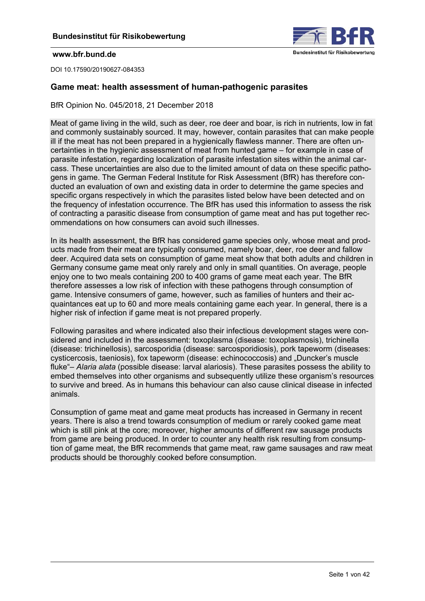

<span id="page-0-0"></span>DOI 10.17590/20190627-084353

## **Game meat: health assessment of human-pathogenic parasites**

BfR Opinion No. 045/2018, 21 December 2018

Meat of game living in the wild, such as deer, roe deer and boar, is rich in nutrients, low in fat and commonly sustainably sourced. It may, however, contain parasites that can make people ill if the meat has not been prepared in a hygienically flawless manner. There are often uncertainties in the hygienic assessment of meat from hunted game – for example in case of parasite infestation, regarding localization of parasite infestation sites within the animal carcass. These uncertainties are also due to the limited amount of data on these specific pathogens in game. The German Federal Institute for Risk Assessment (BfR) has therefore conducted an evaluation of own and existing data in order to determine the game species and specific organs respectively in which the parasites listed below have been detected and on the frequency of infestation occurrence. The BfR has used this information to assess the risk of contracting a parasitic disease from consumption of game meat and has put together recommendations on how consumers can avoid such illnesses.

In its health assessment, the BfR has considered game species only, whose meat and products made from their meat are typically consumed, namely boar, deer, roe deer and fallow deer. Acquired data sets on consumption of game meat show that both adults and children in Germany consume game meat only rarely and only in small quantities. On average, people enjoy one to two meals containing 200 to 400 grams of game meat each year. The BfR therefore assesses a low risk of infection with these pathogens through consumption of game. Intensive consumers of game, however, such as families of hunters and their acquaintances eat up to 60 and more meals containing game each year. In general, there is a higher risk of infection if game meat is not prepared properly.

Following parasites and where indicated also their infectious development stages were considered and included in the assessment: toxoplasma (disease: toxoplasmosis), trichinella (disease: trichinellosis), sarcosporidia (disease: sarcosporidiosis), pork tapeworm (diseases: cysticercosis, taeniosis), fox tapeworm (disease: echinococcosis) and "Duncker's muscle fluke"– *Alaria alata* (possible disease: larval alariosis). These parasites possess the ability to embed themselves into other organisms and subsequently utilize these organism's resources to survive and breed. As in humans this behaviour can also cause clinical disease in infected animals.

Consumption of game meat and game meat products has increased in Germany in recent years. There is also a trend towards consumption of medium or rarely cooked game meat which is still pink at the core; moreover, higher amounts of different raw sausage products from game are being produced. In order to counter any health risk resulting from consumption of game meat, the BfR recommends that game meat, raw game sausages and raw meat products should be thoroughly cooked before consumption.

֦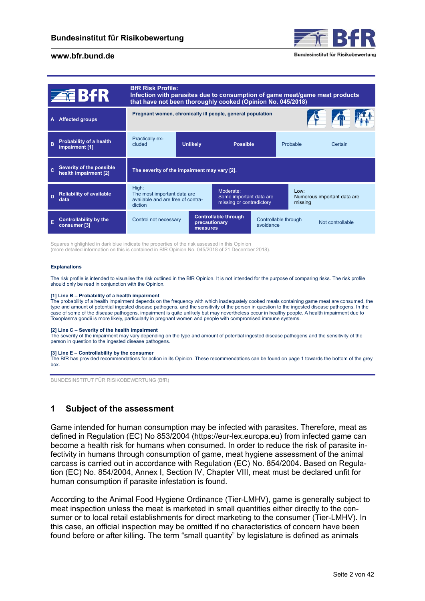

|   | 童出出                                                      | <b>BfR Risk Profile:</b><br>Infection with parasites due to consumption of game meat/game meat products<br>that have not been thoroughly cooked (Opinion No. 045/2018) |                                                            |                                                                  |                                   |                 |                             |
|---|----------------------------------------------------------|------------------------------------------------------------------------------------------------------------------------------------------------------------------------|------------------------------------------------------------|------------------------------------------------------------------|-----------------------------------|-----------------|-----------------------------|
|   | <b>Affected groups</b>                                   |                                                                                                                                                                        | Pregnant women, chronically ill people, general population |                                                                  |                                   |                 |                             |
| R | <b>Probability of a health</b><br>impairment [1]         | <b>Practically ex-</b><br>cluded                                                                                                                                       | <b>Unlikely</b>                                            | <b>Possible</b>                                                  |                                   | Probable        | Certain                     |
|   | Severity of the possible<br>health impairment [2]        | The severity of the impairment may vary [2].                                                                                                                           |                                                            |                                                                  |                                   |                 |                             |
| D | <b>Reliability of available</b><br>data                  | High:<br>The most important data are<br>available and are free of contra-<br>diction                                                                                   |                                                            | Moderate:<br>Some important data are<br>missing or contradictory |                                   | Low:<br>missing | Numerous important data are |
| Е | <b>Controllability by the</b><br>consumer <sup>[3]</sup> | Control not necessary                                                                                                                                                  | precautionary<br>measures                                  | <b>Controllable through</b>                                      | Controllable through<br>avoidance |                 | Not controllable            |

Squares highlighted in dark blue indicate the properties of the risk assessed in this Opinion (more detailed information on this is contained in BfR Opinion No. 045/2018 of 21 December 2018).

#### **Explanations**

The risk profile is intended to visualise the risk outlined in the BfR Opinion. It is not intended for the purpose of comparing risks. The risk profile should only be read in conjunction with the Opinion.

#### **[1] Line B – Probability of a health impairment**

The probability of a health impairment depends on the frequency with which inadequately cooked meals containing game meat are consumed, the type and amount of potential ingested disease pathogens, and the sensitivity of the person in question to the ingested disease pathogens. In the case of some of the disease pathogens, impairment is quite unlikely but may nevertheless occur in healthy people. A health impairment due to Toxoplasma gondii is more likely, particularly in pregnant women and people with compromised immune systems.

#### **[2] Line C – Severity of the health impairment**

The severity of the impairment may vary depending on the type and amount of potential ingested disease pathogens and the sensitivity of the person in question to the ingested disease pathogens.

#### **[3] Line E – Controllability by the consumer**

[The BfR has provided recommendations for action in its Opinion. These recommendations can be found on page 1 towards the bottom of the grey](#page-0-0) box.

BUNDESINSTITUT FÜR RISIKOBEWERTUNG (BfR)

# **1 Subject of the assessment**

Game intended for human consumption may be infected with parasites. Therefore, meat as defined in Regulation (EC) No 853/2004 [\(https://eur-lex.europa.eu\)](https://eur-lex.europa.eu) from infected game can become a health risk for humans when consumed. In order to reduce the risk of parasite infectivity in humans through consumption of game, meat hygiene assessment of the animal carcass is carried out in accordance with Regulation (EC) No. 854/2004. Based on Regulation (EC) No. 854/2004, Annex I, Section IV, Chapter VIII, meat must be declared unfit for human consumption if parasite infestation is found.

According to the Animal Food Hygiene Ordinance (Tier-LMHV), game is generally subject to meat inspection unless the meat is marketed in small quantities either directly to the consumer or to local retail establishments for direct marketing to the consumer (Tier-LMHV). In this case, an official inspection may be omitted if no characteristics of concern have been found before or after killing. The term "small quantity" by legislature is defined as animals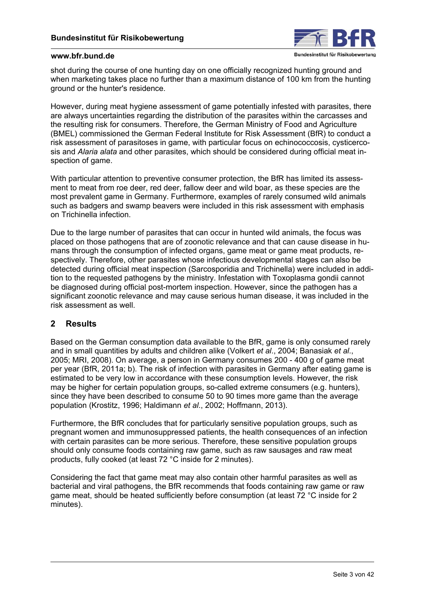

shot during the course of one hunting day on one officially recognized hunting ground and when marketing takes place no further than a maximum distance of 100 km from the hunting ground or the hunter's residence.

However, during meat hygiene assessment of game potentially infested with parasites, there are always uncertainties regarding the distribution of the parasites within the carcasses and the resulting risk for consumers. Therefore, the German Ministry of Food and Agriculture (BMEL) commissioned the German Federal Institute for Risk Assessment (BfR) to conduct a risk assessment of parasitoses in game, with particular focus on echinococcosis, cysticercosis and *Alaria alata* and other parasites, which should be considered during official meat inspection of game.

With particular attention to preventive consumer protection, the BfR has limited its assessment to meat from roe deer, red deer, fallow deer and wild boar, as these species are the most prevalent game in Germany. Furthermore, examples of rarely consumed wild animals such as badgers and swamp beavers were included in this risk assessment with emphasis on Trichinella infection.

Due to the large number of parasites that can occur in hunted wild animals, the focus was placed on those pathogens that are of zoonotic relevance and that can cause disease in humans through the consumption of infected organs, game meat or game meat products, respectively. Therefore, other parasites whose infectious developmental stages can also be detected during official meat inspection (Sarcosporidia and Trichinella) were included in addition to the requested pathogens by the ministry. Infestation with Toxoplasma gondii cannot be diagnosed during official post-mortem inspection. However, since the pathogen has a significant zoonotic relevance and may cause serious human disease, it was included in the risk assessment as well.

## **2 Results**

Based on the German consumption data available to the BfR, game is only consumed rarely and in small quantities by adults and children alike (Volkert *et al*., 2004; Banasiak *et al*., 2005; MRI, 2008). On average, a person in Germany consumes 200 - 400 g of game meat per year (BfR, 2011a; b). The risk of infection with parasites in Germany after eating game is estimated to be very low in accordance with these consumption levels. However, the risk may be higher for certain population groups, so-called extreme consumers (e.g. hunters), since they have been described to consume 50 to 90 times more game than the average population (Krostitz, 1996; Haldimann *et al*., 2002; Hoffmann, 2013).

Furthermore, the BfR concludes that for particularly sensitive population groups, such as pregnant women and immunosuppressed patients, the health consequences of an infection with certain parasites can be more serious. Therefore, these sensitive population groups should only consume foods containing raw game, such as raw sausages and raw meat products, fully cooked (at least 72 °C inside for 2 minutes).

Considering the fact that game meat may also contain other harmful parasites as well as bacterial and viral pathogens, the BfR recommends that foods containing raw game or raw game meat, should be heated sufficiently before consumption (at least 72 °C inside for 2 minutes).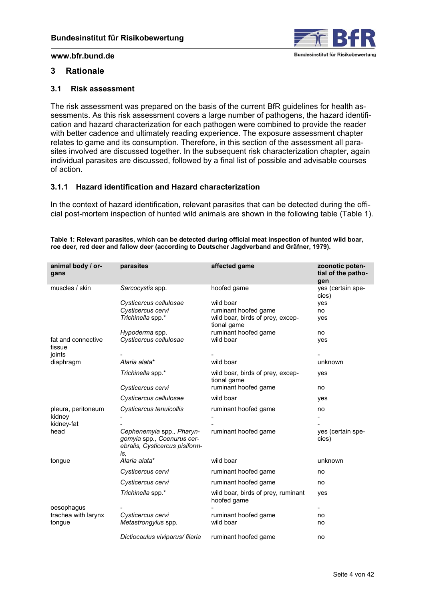

## **3 Rationale**

## **3.1 Risk assessment**

The risk assessment was prepared on the basis of the current BfR guidelines for health assessments. As this risk assessment covers a large number of pathogens, the hazard identification and hazard characterization for each pathogen were combined to provide the reader with better cadence and ultimately reading experience. The exposure assessment chapter relates to game and its consumption. Therefore, in this section of the assessment all parasites involved are discussed together. In the subsequent risk characterization chapter, again individual parasites are discussed, followed by a final list of possible and advisable courses of action.

## **3.1.1 Hazard identification and Hazard characterization**

In the context of hazard identification, relevant parasites that can be detected during the official post-mortem inspection of hunted wild animals are shown in the following table (Table 1).

| animal body / or-<br>gans              | parasites                                                                                        | affected game                                     | zoonotic poten-<br>tial of the patho-<br>gen |
|----------------------------------------|--------------------------------------------------------------------------------------------------|---------------------------------------------------|----------------------------------------------|
| muscles / skin                         | Sarcocystis spp.                                                                                 | hoofed game                                       | yes (certain spe-<br>cies)                   |
|                                        | Cysticercus cellulosae                                                                           | wild boar                                         | yes                                          |
|                                        | Cysticercus cervi                                                                                | ruminant hoofed game                              | no                                           |
|                                        | Trichinella spp.*                                                                                | wild boar, birds of prey, excep-<br>tional game   | yes                                          |
|                                        | Hypoderma spp.                                                                                   | ruminant hoofed game                              | no                                           |
| fat and connective<br>tissue<br>joints | Cysticercus cellulosae                                                                           | wild boar                                         | yes                                          |
| diaphragm                              | Alaria alata*                                                                                    | wild boar                                         | unknown                                      |
|                                        | Trichinella spp.*                                                                                | wild boar, birds of prey, excep-<br>tional game   | yes                                          |
|                                        | Cysticercus cervi                                                                                | ruminant hoofed game                              | no                                           |
|                                        | Cysticercus cellulosae                                                                           | wild boar                                         | yes                                          |
| pleura, peritoneum                     | Cysticercus tenuicollis                                                                          | ruminant hoofed game                              | no                                           |
| kidney                                 |                                                                                                  |                                                   |                                              |
| kidney-fat                             |                                                                                                  |                                                   |                                              |
| head                                   | Cephenemyia spp., Pharyn-<br>gomyia spp., Coenurus cer-<br>ebralis, Cysticercus pisiform-<br>İS, | ruminant hoofed game                              | yes (certain spe-<br>cies)                   |
| tongue                                 | Alaria alata*                                                                                    | wild boar                                         | unknown                                      |
|                                        | Cysticercus cervi                                                                                | ruminant hoofed game                              | no                                           |
|                                        | Cysticercus cervi                                                                                | ruminant hoofed game                              | no                                           |
|                                        | Trichinella spp.*                                                                                | wild boar, birds of prey, ruminant<br>hoofed game | yes                                          |
| oesophagus                             |                                                                                                  |                                                   |                                              |
| trachea with larynx                    | Cysticercus cervi                                                                                | ruminant hoofed game                              | no                                           |
| tongue                                 | Metastrongylus spp.                                                                              | wild boar                                         | no                                           |
|                                        | Dictiocaulus viviparus/ filaria                                                                  | ruminant hoofed game                              | no                                           |

**Table 1: Relevant parasites, which can be detected during official meat inspection of hunted wild boar, roe deer, red deer and fallow deer (according to Deutscher Jagdverband and Gräfner, 1979).**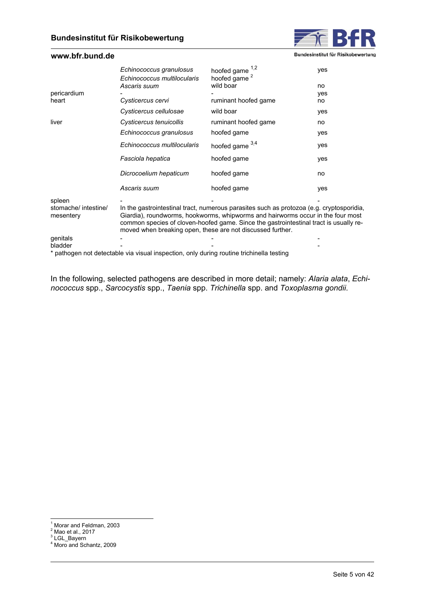

Bundesinstitut für Risikobewertung

<span id="page-4-0"></span>

|                                   | Echinococcus granulosus<br>Echinococcus multilocularis     | hoofed game 1,2<br>hoofed game <sup>2</sup>                                                                                                                                                                                                                          | yes |
|-----------------------------------|------------------------------------------------------------|----------------------------------------------------------------------------------------------------------------------------------------------------------------------------------------------------------------------------------------------------------------------|-----|
|                                   | Ascaris suum                                               | wild boar                                                                                                                                                                                                                                                            | no  |
| pericardium                       |                                                            |                                                                                                                                                                                                                                                                      | yes |
| heart                             | Cysticercus cervi                                          | ruminant hoofed game                                                                                                                                                                                                                                                 | no  |
|                                   | Cysticercus cellulosae                                     | wild boar                                                                                                                                                                                                                                                            | yes |
| liver                             | Cysticercus tenuicollis                                    | ruminant hoofed game                                                                                                                                                                                                                                                 | no  |
|                                   | Echinococcus granulosus                                    | hoofed game                                                                                                                                                                                                                                                          | yes |
|                                   | Echinococcus multilocularis                                | hoofed game $3,4$                                                                                                                                                                                                                                                    | yes |
|                                   | Fasciola hepatica                                          | hoofed game                                                                                                                                                                                                                                                          | yes |
|                                   | Dicrocoelium hepaticum                                     | hoofed game                                                                                                                                                                                                                                                          | no  |
|                                   | Ascaris suum                                               | hoofed game                                                                                                                                                                                                                                                          | yes |
| spleen                            |                                                            |                                                                                                                                                                                                                                                                      |     |
| stomache/ intestine/<br>mesentery | moved when breaking open, these are not discussed further. | In the gastrointestinal tract, numerous parasites such as protozoa (e.g. cryptosporidia,<br>Giardia), roundworms, hookworms, whipworms and hairworms occur in the four most<br>common species of cloven-hoofed game. Since the gastrointestinal tract is usually re- |     |
| genitals                          |                                                            |                                                                                                                                                                                                                                                                      |     |
| bladder                           |                                                            |                                                                                                                                                                                                                                                                      |     |

\* pathogen not detectable via visual inspection, only during routine trichinella testing

In the following, selected pathogens are described in more detail; namely: *Alaria alata*, *Echinococcus* spp., *Sarcocystis* spp., *Taenia* spp. *Trichinella* spp. and *Toxoplasma gondii*.

 1 Morar and Feldman, 2003

<sup>&</sup>lt;sup>2</sup> Mao et al., 2017<br><sup>3</sup> LGL\_Bayern

<sup>4</sup> Moro and Schantz, 2009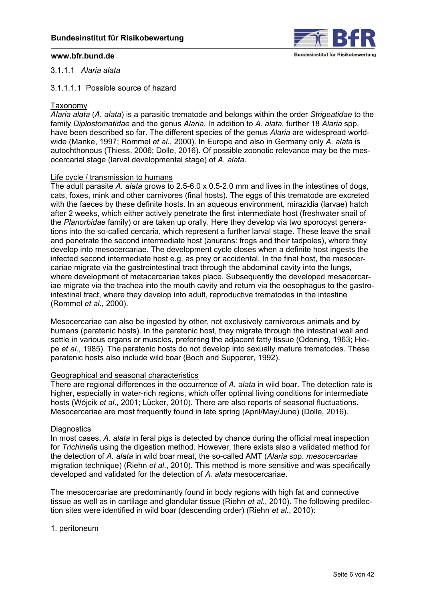

### <span id="page-5-0"></span>3.1.1.1 *Alaria alata*

## 3.1.1.1.1 Possible source of hazard

### Taxonomy

*Alaria alata* (*A. alata*) is a parasitic trematode and belongs within the order *Strigeatidae* to the family *Diplostomatidae* and the genus *Alaria*. In addition to *A. alata*, further 18 *Alaria* spp. have been described so far. The different species of the genus *Alaria* are widespread worldwide (Manke, 1997; Rommel *et al*., 2000). In Europe and also in Germany only *A. alata* is autochthonous (Thiess, 2006; Dolle, 2016). Of possible zoonotic relevance may be the mesocercarial stage (larval developmental stage) of *A. alata*.

### Life cycle / transmission to humans

The adult parasite *A. alata* grows to 2.5-6.0 x 0.5-2.0 mm and lives in the intestines of dogs, cats, foxes, mink and other carnivores (final hosts). The eggs of this trematode are excreted with the faeces by these definite hosts. In an aqueous environment, mirazidia (larvae) hatch after 2 weeks, which either actively penetrate the first intermediate host (freshwater snail of the *Planorbidae* family) or are taken up orally. Here they develop via two sporocyst generations into the so-called cercaria, which represent a further larval stage. These leave the snail and penetrate the second intermediate host (anurans: frogs and their tadpoles), where they develop into mesocercariae. The development cycle closes when a definite host ingests the infected second intermediate host e.g. as prey or accidental. In the final host, the mesocercariae migrate via the gastrointestinal tract through the abdominal cavity into the lungs, where development of metacercariae takes place. Subsequently the developed mesacercariae migrate via the trachea into the mouth cavity and return via the oesophagus to the gastrointestinal tract, where they develop into adult, reproductive trematodes in the intestine (Rommel *et al*., 2000).

Mesocercariae can also be ingested by other, not exclusively carnivorous animals and by humans (paratenic hosts). In the paratenic host, they migrate through the intestinal wall and settle in various organs or muscles, preferring the adjacent fatty tissue (Odening, 1963; Hiepe *et al*., 1985). The paratenic hosts do not develop into sexually mature trematodes. These paratenic hosts also include wild boar (Boch and Supperer, 1992).

### Geographical and seasonal characteristics

There are regional differences in the occurrence of *A. alata* in wild boar. The detection rate is higher, especially in water-rich regions, which offer optimal living conditions for intermediate hosts (Wójcik *et al*., 2001; Lücker, 2010). There are also reports of seasonal fluctuations. Mesocercariae are most frequently found in late spring (April/May/June) (Dolle, 2016).

### **Diagnostics**

In most cases, *A. alata* in feral pigs is detected by chance during the official meat inspection for *Trichinella* using the digestion method. However, there exists also a validated method for the detection of *A. alata* in wild boar meat, the so-called AMT (*Alaria* spp. *mesocercariae* migration technique) (Riehn *et al*., 2010). This method is more sensitive and was specifically developed and validated for the detection of *A. alata* mesocercariae.

The mesocercariae are predominantly found in body regions with high fat and connective tissue as well as in cartilage and glandular tissue (Riehn *et al*., 2010). The following predilection sites were identified in wild boar (descending order) (Riehn *et al*., 2010):

1. peritoneum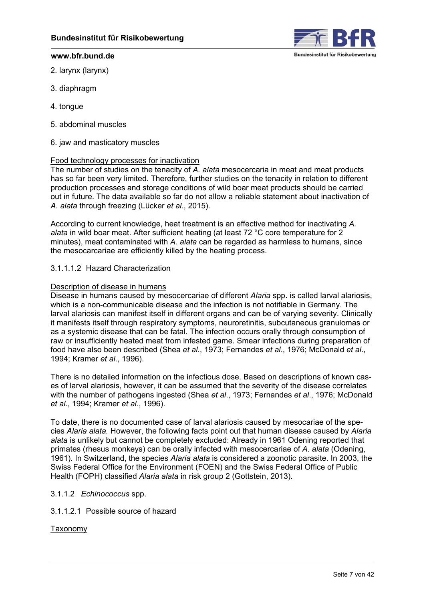

- 2. larynx (larynx)
- 3. diaphragm
- 4. tongue
- 5. abdominal muscles
- 6. jaw and masticatory muscles

## Food technology processes for inactivation

The number of studies on the tenacity of *A. alata* mesocercaria in meat and meat products has so far been very limited. Therefore, further studies on the tenacity in relation to different production processes and storage conditions of wild boar meat products should be carried out in future. The data available so far do not allow a reliable statement about inactivation of *A. alata* through freezing (Lücker *et al*., 2015).

According to current knowledge, heat treatment is an effective method for inactivating *A. alata* in wild boar meat. After sufficient heating (at least 72 °C core temperature for 2 minutes), meat contaminated with *A. alata* can be regarded as harmless to humans, since the mesocarcariae are efficiently killed by the heating process.

## 3.1.1.1.2 Hazard Characterization

### Description of disease in humans

Disease in humans caused by mesocercariae of different *Alaria* spp. is called larval alariosis, which is a non-communicable disease and the infection is not notifiable in Germany. The larval alariosis can manifest itself in different organs and can be of varying severity. Clinically it manifests itself through respiratory symptoms, neuroretinitis, subcutaneous granulomas or as a systemic disease that can be fatal. The infection occurs orally through consumption of raw or insufficiently heated meat from infested game. Smear infections during preparation of food have also been described (Shea *et al*., 1973; Fernandes *et al*., 1976; McDonald *et al*., 1994; Kramer *et al*., 1996).

There is no detailed information on the infectious dose. Based on descriptions of known cases of larval alariosis, however, it can be assumed that the severity of the disease correlates with the number of pathogens ingested (Shea *et al*., 1973; Fernandes *et al*., 1976; McDonald *et al*., 1994; Kramer *et al*., 1996).

To date, there is no documented case of larval alariosis caused by mesocariae of the species *Alaria alata.* However, the following facts point out that human disease caused by *Alaria alata* is unlikely but cannot be completely excluded: Already in 1961 Odening reported that primates (rhesus monkeys) can be orally infected with mesocercariae of *A. alata* (Odening, 1961). In Switzerland, the species *Alaria alata* is considered a zoonotic parasite. In 2003, the Swiss Federal Office for the Environment (FOEN) and the Swiss Federal Office of Public Health (FOPH) classified *Alaria alata* in risk group 2 (Gottstein, 2013).

### 3.1.1.2 *Echinococcus* spp.

3.1.1.2.1 Possible source of hazard

Taxonomy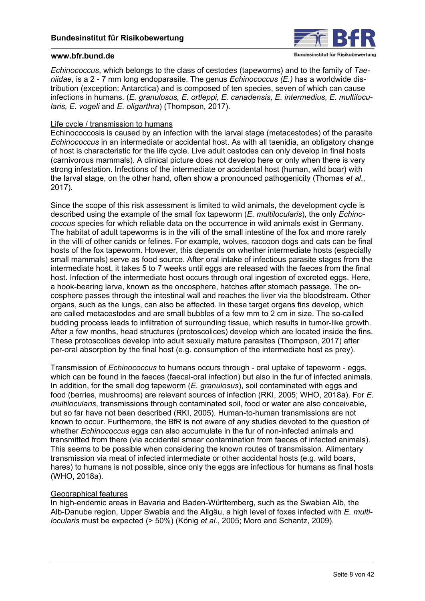

*Echinococcus*, which belongs to the class of cestodes (tapeworms) and to the family of *Taeniidae*, is a 2 - 7 mm long endoparasite. The genus *Echinococcus (E.)* has a worldwide distribution (exception: Antarctica) and is composed of ten species, seven of which can cause infections in humans. (*E. granulosus, E. ortleppi, E. canadensis, E. intermedius, E. multilocularis, E. vogeli* and *E. oligarthra*) (Thompson, 2017).

## Life cycle / transmission to humans

Echinococcosis is caused by an infection with the larval stage (metacestodes) of the parasite *Echinococcus* in an intermediate or accidental host. As with all taenidia, an obligatory change of host is characteristic for the life cycle. Live adult cestodes can only develop in final hosts (carnivorous mammals). A clinical picture does not develop here or only when there is very strong infestation. Infections of the intermediate or accidental host (human, wild boar) with the larval stage, on the other hand, often show a pronounced pathogenicity (Thomas *et al*., 2017).

Since the scope of this risk assessment is limited to wild animals, the development cycle is described using the example of the small fox tapeworm (*E. multilocularis*), the only *Echinococcus* species for which reliable data on the occurrence in wild animals exist in Germany. The habitat of adult tapeworms is in the villi of the small intestine of the fox and more rarely in the villi of other canids or felines. For example, wolves, raccoon dogs and cats can be final hosts of the fox tapeworm. However, this depends on whether intermediate hosts (especially small mammals) serve as food source. After oral intake of infectious parasite stages from the intermediate host, it takes 5 to 7 weeks until eggs are released with the faeces from the final host. Infection of the intermediate host occurs through oral ingestion of excreted eggs. Here, a hook-bearing larva, known as the oncosphere, hatches after stomach passage. The oncosphere passes through the intestinal wall and reaches the liver via the bloodstream. Other organs, such as the lungs, can also be affected. In these target organs fins develop, which are called metacestodes and are small bubbles of a few mm to 2 cm in size. The so-called budding process leads to infiltration of surrounding tissue, which results in tumor-like growth. After a few months, head structures (protoscolices) develop which are located inside the fins. These protoscolices develop into adult sexually mature parasites (Thompson, 2017) after per-oral absorption by the final host (e.g. consumption of the intermediate host as prey).

Transmission of *Echinococcus* to humans occurs through - oral uptake of tapeworm - eggs, which can be found in the faeces (faecal-oral infection) but also in the fur of infected animals. In addition, for the small dog tapeworm (*E. granulosus*), soil contaminated with eggs and food (berries, mushrooms) are relevant sources of infection (RKI, 2005; WHO, 2018a). For *E. multilocularis*, transmissions through contaminated soil, food or water are also conceivable, but so far have not been described (RKI, 2005). Human-to-human transmissions are not known to occur. Furthermore, the BfR is not aware of any studies devoted to the question of whether *Echinococcus* eggs can also accumulate in the fur of non-infected animals and transmitted from there (via accidental smear contamination from faeces of infected animals). This seems to be possible when considering the known routes of transmission. Alimentary transmission via meat of infected intermediate or other accidental hosts (e.g. wild boars, hares) to humans is not possible, since only the eggs are infectious for humans as final hosts (WHO, 2018a).

## Geographical features

In high-endemic areas in Bavaria and Baden-Württemberg, such as the Swabian Alb, the Alb-Danube region, Upper Swabia and the Allgäu, a high level of foxes infected with *E. multilocularis* must be expected (> 50%) (König *et al.*, 2005; Moro and Schantz, 2009).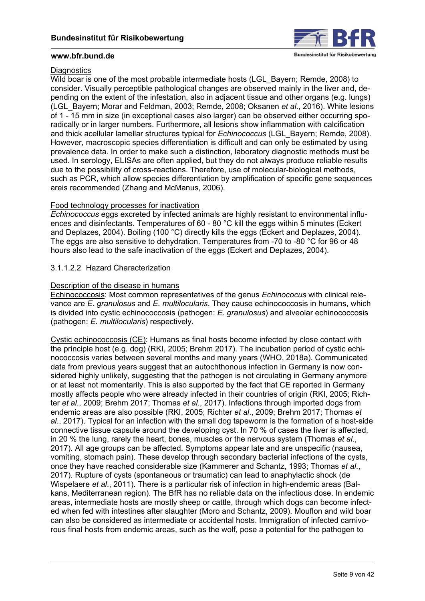

## **Diagnostics**

Wild boar is one of the most probable intermediate hosts (LGL\_Bayern: Remde, 2008) to consider. Visually perceptible pathological changes are observed mainly in the liver and, depending on the extent of the infestation, also in adjacent tissue and other organs (e.g. lungs) (LGL\_Bayern; Morar and Feldman, 2003; Remde, 2008; Oksanen *et al*., 2016). White lesions of 1 - 15 mm in size (in exceptional cases also larger) can be observed either occurring sporadically or in larger numbers. Furthermore, all lesions show inflammation with calcification and thick acellular lamellar structures typical for *Echinococcus* (LGL\_Bayern; Remde, 2008). However, macroscopic species differentiation is difficult and can only be estimated by using prevalence data. In order to make such a distinction, laboratory diagnostic methods must be used. In serology, ELISAs are often applied, but they do not always produce reliable results due to the possibility of cross-reactions. Therefore, use of molecular-biological methods, such as PCR, which allow species differentiation by amplification of specific gene sequences areis recommended (Zhang and McManus, 2006).

## Food technology processes for inactivation

*Echinococcus* eggs excreted by infected animals are highly resistant to environmental influences and disinfectants. Temperatures of 60 - 80 °C kill the eggs within 5 minutes (Eckert and Deplazes, 2004). Boiling (100 °C) directly kills the eggs (Eckert and Deplazes, 2004). The eggs are also sensitive to dehydration. Temperatures from -70 to -80 °C for 96 or 48 hours also lead to the safe inactivation of the eggs (Eckert and Deplazes, 2004).

## 3.1.1.2.2 Hazard Characterization

## Description of the disease in humans

Echinococcosis: Most common representatives of the genus *Echinococus* with clinical relevance are *E. granulosus* and *E. multilocularis*. They cause echinococcosis in humans, which is divided into cystic echinococcosis (pathogen: *E. granulosus*) and alveolar echinococcosis (pathogen: *E. multilocularis*) respectively.

Cystic echinococcosis (CE): Humans as final hosts become infected by close contact with the principle host (e.g. dog) (RKI, 2005; Brehm 2017). The incubation period of cystic echinococcosis varies between several months and many years (WHO, 2018a). Communicated data from previous years suggest that an autochthonous infection in Germany is now considered highly unlikely, suggesting that the pathogen is not circulating in Germany anymore or at least not momentarily. This is also supported by the fact that CE reported in Germany mostly affects people who were already infected in their countries of origin (RKI, 2005; Richter *et al*., 2009; Brehm 2017; Thomas *et al*., 2017). Infections through imported dogs from endemic areas are also possible (RKI, 2005; Richter *et al*., 2009; Brehm 2017; Thomas *et al*., 2017). Typical for an infection with the small dog tapeworm is the formation of a host-side connective tissue capsule around the developing cyst. In 70 % of cases the liver is affected, in 20 % the lung, rarely the heart, bones, muscles or the nervous system (Thomas *et al*., 2017). All age groups can be affected. Symptoms appear late and are unspecific (nausea, vomiting, stomach pain). These develop through secondary bacterial infections of the cysts, once they have reached considerable size (Kammerer and Schantz, 1993; Thomas *et al*., 2017). Rupture of cysts (spontaneous or traumatic) can lead to anaphylactic shock (de Wispelaere *et al*., 2011). There is a particular risk of infection in high-endemic areas (Balkans, Mediterranean region). The BfR has no reliable data on the infectious dose. In endemic areas, intermediate hosts are mostly sheep or cattle, through which dogs can become infected when fed with intestines after slaughter (Moro and Schantz, 2009). Mouflon and wild boar can also be considered as intermediate or accidental hosts. Immigration of infected carnivorous final hosts from endemic areas, such as the wolf, pose a potential for the pathogen to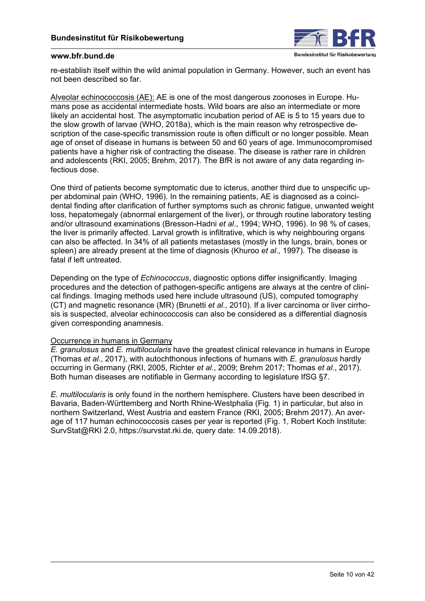

re-establish itself within the wild animal population in Germany. However, such an event has not been described so far.

Alveolar echinococcosis (AE): AE is one of the most dangerous zoonoses in Europe. Humans pose as accidental intermediate hosts. Wild boars are also an intermediate or more likely an accidental host. The asymptomatic incubation period of AE is 5 to 15 years due to the slow growth of larvae (WHO, 2018a), which is the main reason why retrospective description of the case-specific transmission route is often difficult or no longer possible. Mean age of onset of disease in humans is between 50 and 60 years of age. Immunocompromised patients have a higher risk of contracting the disease. The disease is rather rare in children and adolescents (RKI, 2005; Brehm, 2017). The BfR is not aware of any data regarding infectious dose.

One third of patients become symptomatic due to icterus, another third due to unspecific upper abdominal pain (WHO, 1996). In the remaining patients, AE is diagnosed as a coincidental finding after clarification of further symptoms such as chronic fatigue, unwanted weight loss, hepatomegaly (abnormal enlargement of the liver), or through routine laboratory testing and/or ultrasound examinations (Bresson-Hadni *et al*., 1994; WHO, 1996). In 98 % of cases, the liver is primarily affected. Larval growth is infiltrative, which is why neighbouring organs can also be affected. In 34% of all patients metastases (mostly in the lungs, brain, bones or spleen) are already present at the time of diagnosis (Khuroo *et al*., 1997). The disease is fatal if left untreated.

Depending on the type of *Echinococcus*, diagnostic options differ insignificantly. Imaging procedures and the detection of pathogen-specific antigens are always at the centre of clinical findings. Imaging methods used here include ultrasound (US), computed tomography (CT) and magnetic resonance (MR) (Brunetti *et al*., 2010). If a liver carcinoma or liver cirrhosis is suspected, alveolar echinococcosis can also be considered as a differential diagnosis given corresponding anamnesis.

## Occurrence in humans in Germany

*E. granulosus* and *E. multilocularis* have the greatest clinical relevance in humans in Europe (Thomas *et al*., 2017), with autochthonous infections of humans with *E. granulosus* hardly occurring in Germany (RKI, 2005, Richter *et al*., 2009; Brehm 2017; Thomas *et al*., 2017). Both human diseases are notifiable in Germany according to legislature IfSG §7.

*E. multilocularis* is only found in the northern hemisphere. Clusters have been described in Bavaria, Baden-Württemberg and North Rhine-Westphalia [\(Fig. 1\)](#page-10-0) in particular, but also in northern Switzerland, West Austria and eastern France (RKI, 2005; Brehm 2017). An average of 117 human echinococcosis cases per year is reported [\(Fig. 1,](#page-10-0) Robert Koch Institute: SurvStat@RKI 2.0, [https://survstat.rki.de,](https://survstat.rki.de) query date: 14.09.2018).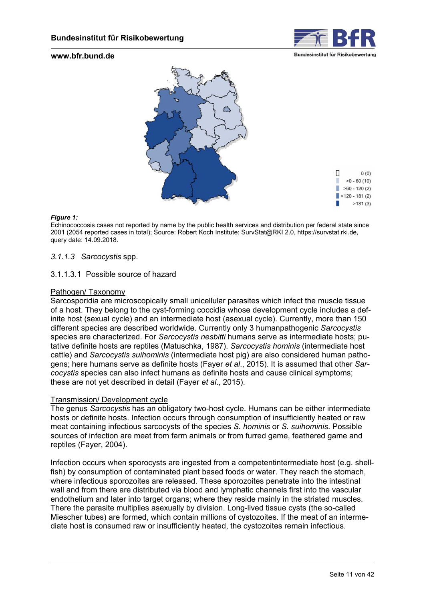

<span id="page-10-0"></span>

#### *Figure 1:*

Echinococcosis cases not reported by name by the public health services and distribution per federal state since 2001 (2054 reported cases in total); Source: Robert Koch Institute: SurvStat@RKI 2.0[, https://survstat.rki.de,](https://survstat.rki.de) query date: 14.09.2018.

### *3.1.1.3 Sarcocystis* spp.

### 3.1.1.3.1 Possible source of hazard

### Pathogen/ Taxonomy

Sarcosporidia are microscopically small unicellular parasites which infect the muscle tissue of a host. They belong to the cyst-forming coccidia whose development cycle includes a definite host (sexual cycle) and an intermediate host (asexual cycle). Currently, more than 150 different species are described worldwide. Currently only 3 humanpathogenic *Sarcocystis* species are characterized. For *Sarcocystis nesbitti* humans serve as intermediate hosts; putative definite hosts are reptiles (Matuschka, 1987). *Sarcocystis hominis* (intermediate host cattle) and *Sarcocystis suihominis* (intermediate host pig) are also considered human pathogens; here humans serve as definite hosts (Fayer *et al*., 2015). It is assumed that other *Sarcocystis* species can also infect humans as definite hosts and cause clinical symptoms; these are not yet described in detail (Fayer *et al*., 2015).

#### Transmission/ Development cycle

The genus *Sarcocystis* has an obligatory two-host cycle. Humans can be either intermediate hosts or definite hosts. Infection occurs through consumption of insufficiently heated or raw meat containing infectious sarcocysts of the species *S. hominis* or *S. suihominis*. Possible sources of infection are meat from farm animals or from furred game, feathered game and reptiles (Fayer, 2004).

Infection occurs when sporocysts are ingested from a competentintermediate host (e.g. shellfish) by consumption of contaminated plant based foods or water. They reach the stomach, where infectious sporozoites are released. These sporozoites penetrate into the intestinal wall and from there are distributed via blood and lymphatic channels first into the vascular endothelium and later into target organs; where they reside mainly in the striated muscles. There the parasite multiplies asexually by division. Long-lived tissue cysts (the so-called Miescher tubes) are formed, which contain millions of cystozoites. If the meat of an intermediate host is consumed raw or insufficiently heated, the cystozoites remain infectious.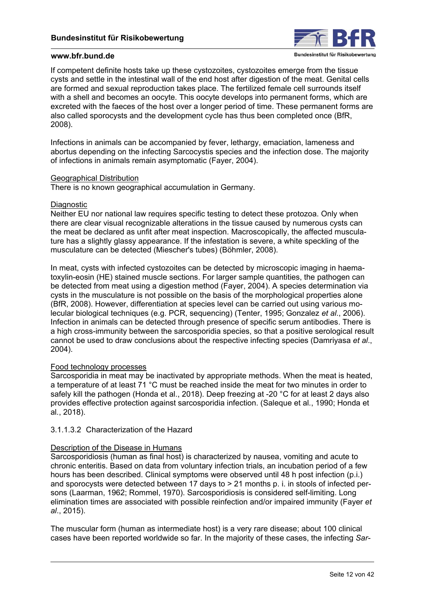

If competent definite hosts take up these cystozoites, cystozoites emerge from the tissue cysts and settle in the intestinal wall of the end host after digestion of the meat. Genital cells are formed and sexual reproduction takes place. The fertilized female cell surrounds itself with a shell and becomes an oocyte. This oocyte develops into permanent forms, which are excreted with the faeces of the host over a longer period of time. These permanent forms are also called sporocysts and the development cycle has thus been completed once (BfR, 2008).

Infections in animals can be accompanied by fever, lethargy, emaciation, lameness and abortus depending on the infecting Sarcocystis species and the infection dose. The majority of infections in animals remain asymptomatic (Fayer, 2004).

### Geographical Distribution

There is no known geographical accumulation in Germany.

### Diagnostic

Neither EU nor national law requires specific testing to detect these protozoa. Only when there are clear visual recognizable alterations in the tissue caused by numerous cysts can the meat be declared as unfit after meat inspection. Macroscopically, the affected musculature has a slightly glassy appearance. If the infestation is severe, a white speckling of the musculature can be detected (Miescher's tubes) (Böhmler, 2008).

In meat, cysts with infected cystozoites can be detected by microscopic imaging in haematoxylin-eosin (HE) stained muscle sections. For larger sample quantities, the pathogen can be detected from meat using a digestion method (Fayer, 2004). A species determination via cysts in the musculature is not possible on the basis of the morphological properties alone (BfR, 2008). However, differentiation at species level can be carried out using various molecular biological techniques (e.g. PCR, sequencing) (Tenter, 1995; Gonzalez *et al*., 2006). Infection in animals can be detected through presence of specific serum antibodies. There is a high cross-immunity between the sarcosporidia species, so that a positive serological result cannot be used to draw conclusions about the respective infecting species (Damriyasa *et al*., 2004).

### Food technology processes

Sarcosporidia in meat may be inactivated by appropriate methods. When the meat is heated, a temperature of at least 71 °C must be reached inside the meat for two minutes in order to safely kill the pathogen (Honda et al., 2018). Deep freezing at -20 °C for at least 2 days also provides effective protection against sarcosporidia infection. (Saleque et al*.*, 1990; Honda et al*.*, 2018).

## 3.1.1.3.2 Characterization of the Hazard

## Description of the Disease in Humans

Sarcosporidiosis (human as final host) is characterized by nausea, vomiting and acute to chronic enteritis. Based on data from voluntary infection trials, an incubation period of a few hours has been described. Clinical symptoms were observed until 48 h post infection (p.i.) and sporocysts were detected between 17 days to > 21 months p. i. in stools of infected persons (Laarman, 1962; Rommel, 1970). Sarcosporidiosis is considered self-limiting. Long elimination times are associated with possible reinfection and/or impaired immunity (Fayer *et al*., 2015).

The muscular form (human as intermediate host) is a very rare disease; about 100 clinical cases have been reported worldwide so far. In the majority of these cases, the infecting *Sar-*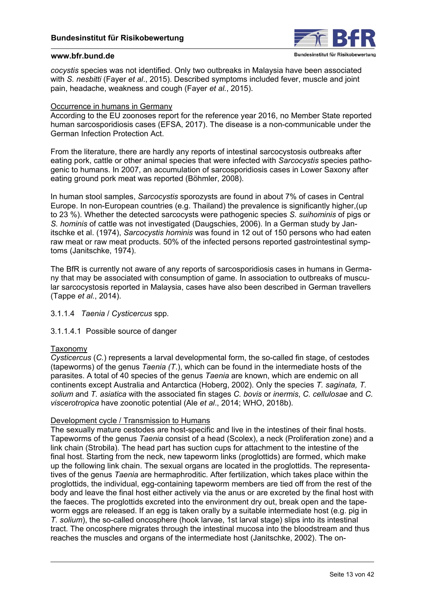

*cocystis* species was not identified. Only two outbreaks in Malaysia have been associated with *S. nesbitti* (Fayer *et al*., 2015). Described symptoms included fever, muscle and joint pain, headache, weakness and cough (Fayer *et al.*, 2015).

## Occurrence in humans in Germany

According to the EU zoonoses report for the reference year 2016, no Member State reported human sarcosporidiosis cases (EFSA, 2017). The disease is a non-communicable under the German Infection Protection Act.

From the literature, there are hardly any reports of intestinal sarcocystosis outbreaks after eating pork, cattle or other animal species that were infected with *Sarcocystis* species pathogenic to humans. In 2007, an accumulation of sarcosporidiosis cases in Lower Saxony after eating ground pork meat was reported (Böhmler, 2008).

In human stool samples, *Sarcocystis* sporozysts are found in about 7% of cases in Central Europe. In non-European countries (e.g. Thailand) the prevalence is significantly higher,(up to 23 %). Whether the detected sarcocysts were pathogenic species *S. suihominis* of pigs or *S. hominis* of cattle was not investigated (Daugschies, 2006). In a German study by Janitschke et al. (1974), *Sarcocystis hominis* was found in 12 out of 150 persons who had eaten raw meat or raw meat products. 50% of the infected persons reported gastrointestinal symptoms (Janitschke, 1974).

The BfR is currently not aware of any reports of sarcosporidiosis cases in humans in Germany that may be associated with consumption of game. In association to outbreaks of muscular sarcocystosis reported in Malaysia, cases have also been described in German travellers (Tappe *et al.*, 2014).

3.1.1.4 *Taenia* / *Cysticercus* spp*.*

3.1.1.4.1 Possible source of danger

### Taxonomy

*Cysticercus* (*C.*) represents a larval developmental form, the so-called fin stage, of cestodes (tapeworms) of the genus *Taenia (T*.), which can be found in the intermediate hosts of the parasites. A total of 40 species of the genus *Taenia* are known, which are endemic on all continents except Australia and Antarctica (Hoberg, 2002). Only the species *T. saginata, T. solium* and *T. asiatica* with the associated fin stages *C. bovis* or *inermis*, *C. cellulosae* and *C. viscerotropica* have zoonotic potential (Ale *et al*., 2014; WHO, 2018b).

### Development cycle / Transmission to Humans

The sexually mature cestodes are host-specific and live in the intestines of their final hosts. Tapeworms of the genus *Taenia* consist of a head (Scolex), a neck (Proliferation zone) and a link chain (Strobila). The head part has suction cups for attachment to the intestine of the final host. Starting from the neck, new tapeworm links (proglottids) are formed, which make up the following link chain. The sexual organs are located in the proglottids. The representatives of the genus *Taenia* are hermaphroditic. After fertilization, which takes place within the proglottids, the individual, egg-containing tapeworm members are tied off from the rest of the body and leave the final host either actively via the anus or are excreted by the final host with the faeces. The proglottids excreted into the environment dry out, break open and the tapeworm eggs are released. If an egg is taken orally by a suitable intermediate host (e.g. pig in *T. solium*), the so-called oncosphere (hook larvae, 1st larval stage) slips into its intestinal tract. The oncosphere migrates through the intestinal mucosa into the bloodstream and thus reaches the muscles and organs of the intermediate host (Janitschke, 2002). The on-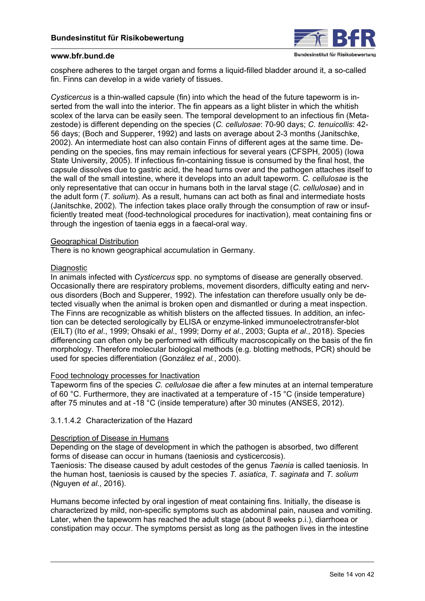

cosphere adheres to the target organ and forms a liquid-filled bladder around it, a so-called fin. Finns can develop in a wide variety of tissues.

*Cysticercus* is a thin-walled capsule (fin) into which the head of the future tapeworm is inserted from the wall into the interior. The fin appears as a light blister in which the whitish scolex of the larva can be easily seen. The temporal development to an infectious fin (Metazestode) is different depending on the species (*C. cellulosae*: 70-90 days; *C. tenuicollis*: 42- 56 days; (Boch and Supperer, 1992) and lasts on average about 2-3 months (Janitschke, 2002). An intermediate host can also contain Finns of different ages at the same time. Depending on the species, fins may remain infectious for several years (CFSPH, 2005) (Iowa State University, 2005). If infectious fin-containing tissue is consumed by the final host, the capsule dissolves due to gastric acid, the head turns over and the pathogen attaches itself to the wall of the small intestine, where it develops into an adult tapeworm. *C. cellulosae* is the only representative that can occur in humans both in the larval stage (*C. cellulosae*) and in the adult form (*T. solium*). As a result, humans can act both as final and intermediate hosts (Janitschke, 2002). The infection takes place orally through the consumption of raw or insufficiently treated meat (food-technological procedures for inactivation), meat containing fins or through the ingestion of taenia eggs in a faecal-oral way.

### Geographical Distribution

There is no known geographical accumulation in Germany.

### Diagnostic

In animals infected with *Cysticercus* spp. no symptoms of disease are generally observed. Occasionally there are respiratory problems, movement disorders, difficulty eating and nervous disorders (Boch and Supperer, 1992). The infestation can therefore usually only be detected visually when the animal is broken open and dismantled or during a meat inspection. The Finns are recognizable as whitish blisters on the affected tissues. In addition, an infection can be detected serologically by ELISA or enzyme-linked immunoelectrotransfer-blot (EILT) (Ito *et al*., 1999; Ohsaki *et al*., 1999; Dorny *et al*., 2003; Gupta *et al*., 2018). Species differencing can often only be performed with difficulty macroscopically on the basis of the fin morphology. Therefore molecular biological methods (e.g. blotting methods, PCR) should be used for species differentiation (González *et al.*, 2000).

### Food technology processes for Inactivation

Tapeworm fins of the species *C. cellulosae* die after a few minutes at an internal temperature of 60 °C. Furthermore, they are inactivated at a temperature of -15 °C (inside temperature) after 75 minutes and at -18 °C (inside temperature) after 30 minutes (ANSES, 2012).

### 3.1.1.4.2 Characterization of the Hazard

### Description of Disease in Humans

Depending on the stage of development in which the pathogen is absorbed, two different forms of disease can occur in humans (taeniosis and cysticercosis).

Taeniosis: The disease caused by adult cestodes of the genus *Taenia* is called taeniosis. In the human host, taeniosis is caused by the species *T. asiatica*, *T. saginata* and *T. solium* (Nguyen *et al*., 2016).

Humans become infected by oral ingestion of meat containing fins. Initially, the disease is characterized by mild, non-specific symptoms such as abdominal pain, nausea and vomiting. Later, when the tapeworm has reached the adult stage (about 8 weeks p.i.), diarrhoea or constipation may occur. The symptoms persist as long as the pathogen lives in the intestine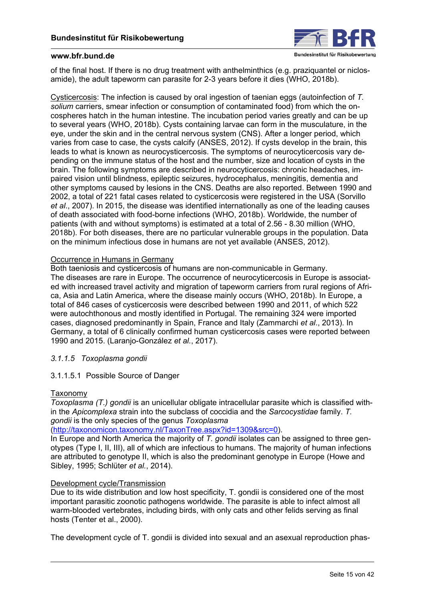

of the final host. If there is no drug treatment with anthelminthics (e.g. praziquantel or niclosamide), the adult tapeworm can parasite for 2-3 years before it dies (WHO, 2018b).

Cysticercosis: The infection is caused by oral ingestion of taenian eggs (autoinfection of *T. solium* carriers, smear infection or consumption of contaminated food) from which the oncospheres hatch in the human intestine. The incubation period varies greatly and can be up to several years (WHO, 2018b). Cysts containing larvae can form in the musculature, in the eye, under the skin and in the central nervous system (CNS). After a longer period, which varies from case to case, the cysts calcify (ANSES, 2012). If cysts develop in the brain, this leads to what is known as neurocysticercosis. The symptoms of neurocyticercosis vary depending on the immune status of the host and the number, size and location of cysts in the brain. The following symptoms are described in neurocyticercosis: chronic headaches, impaired vision until blindness, epileptic seizures, hydrocephalus, meningitis, dementia and other symptoms caused by lesions in the CNS. Deaths are also reported. Between 1990 and 2002, a total of 221 fatal cases related to cysticercosis were registered in the USA (Sorvillo *et al*., 2007). In 2015, the disease was identified internationally as one of the leading causes of death associated with food-borne infections (WHO, 2018b). Worldwide, the number of patients (with and without symptoms) is estimated at a total of 2.56 - 8.30 million (WHO, 2018b). For both diseases, there are no particular vulnerable groups in the population. Data on the minimum infectious dose in humans are not yet available (ANSES, 2012).

### Occurrence in Humans in Germany

Both taeniosis and cysticercosis of humans are non-communicable in Germany. The diseases are rare in Europe. The occurrence of neurocyticercosis in Europe is associated with increased travel activity and migration of tapeworm carriers from rural regions of Africa, Asia and Latin America, where the disease mainly occurs (WHO, 2018b). In Europe, a total of 846 cases of cysticercosis were described between 1990 and 2011, of which 522 were autochthonous and mostly identified in Portugal. The remaining 324 were imported cases, diagnosed predominantly in Spain, France and Italy (Zammarchi *et al*., 2013). In Germany, a total of 6 clinically confirmed human cysticercosis cases were reported between 1990 and 2015. (Laranjo-González *et al.*, 2017).

## *3.1.1.5 Toxoplasma gondii*

## 3.1.1.5.1 Possible Source of Danger

### Taxonomy

*Toxoplasma (T.) gondii* is an unicellular obligate intracellular parasite which is classified within the *Apicomplexa* strain into the subclass of coccidia and the *Sarcocystidae* family. *T. gondii* is the only species of the genus *Toxoplasma* 

(<http://taxonomicon.taxonomy.nl/TaxonTree.aspx?id=1309&src=0>).

In Europe and North America the majority of *T. gondii* isolates can be assigned to three genotypes (Type I, II, III), all of which are infectious to humans. The majority of human infections are attributed to genotype II, which is also the predominant genotype in Europe (Howe and Sibley, 1995; Schlüter *et al.*, 2014).

### Development cycle/Transmission

Due to its wide distribution and low host specificity, T. gondii is considered one of the most important parasitic zoonotic pathogens worldwide. The parasite is able to infect almost all warm-blooded vertebrates, including birds, with only cats and other felids serving as final hosts (Tenter et al., 2000).

The development cycle of T. gondii is divided into sexual and an asexual reproduction phas-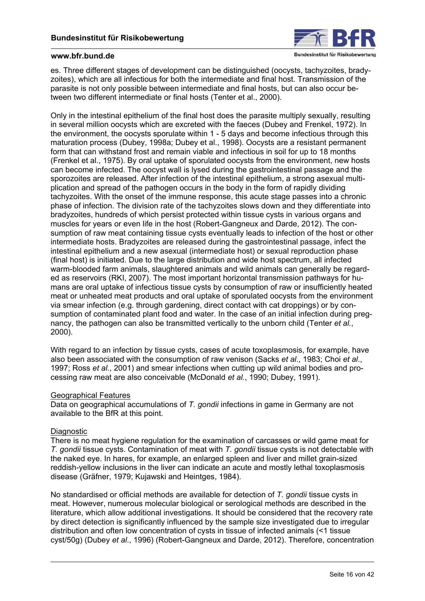

es. Three different stages of development can be distinguished (oocysts, tachyzoites, bradyzoites), which are all infectious for both the intermediate and final host. Transmission of the parasite is not only possible between intermediate and final hosts, but can also occur between two different intermediate or final hosts (Tenter et al., 2000).

Only in the intestinal epithelium of the final host does the parasite multiply sexually, resulting in several million oocysts which are excreted with the faeces (Dubey and Frenkel, 1972). In the environment, the oocysts sporulate within 1 - 5 days and become infectious through this maturation process (Dubey, 1998a; Dubey et al., 1998). Oocysts are a resistant permanent form that can withstand frost and remain viable and infectious in soil for up to 18 months (Frenkel et al., 1975). By oral uptake of sporulated oocysts from the environment, new hosts can become infected. The oocyst wall is lysed during the gastrointestinal passage and the sporozoites are released. After infection of the intestinal epithelium, a strong asexual multiplication and spread of the pathogen occurs in the body in the form of rapidly dividing tachyzoites. With the onset of the immune response, this acute stage passes into a chronic phase of infection. The division rate of the tachyzoites slows down and they differentiate into bradyzoites, hundreds of which persist protected within tissue cysts in various organs and muscles for years or even life in the host (Robert-Gangneux and Darde, 2012). The consumption of raw meat containing tissue cysts eventually leads to infection of the host or other intermediate hosts. Bradyzoites are released during the gastrointestinal passage, infect the intestinal epithelium and a new asexual (intermediate host) or sexual reproduction phase (final host) is initiated. Due to the large distribution and wide host spectrum, all infected warm-blooded farm animals, slaughtered animals and wild animals can generally be regarded as reservoirs (RKI, 2007). The most important horizontal transmission pathways for humans are oral uptake of infectious tissue cysts by consumption of raw or insufficiently heated meat or unheated meat products and oral uptake of sporulated oocysts from the environment via smear infection (e.g. through gardening, direct contact with cat droppings) or by consumption of contaminated plant food and water. In the case of an initial infection during pregnancy, the pathogen can also be transmitted vertically to the unborn child (Tenter *et al.*, 2000).

With regard to an infection by tissue cysts, cases of acute toxoplasmosis, for example, have also been associated with the consumption of raw venison (Sacks *et al*., 1983; Choi *et al*., 1997; Ross *et al*., 2001) and smear infections when cutting up wild animal bodies and processing raw meat are also conceivable (McDonald *et al.*, 1990; Dubey, 1991).

### Geographical Features

Data on geographical accumulations of *T. gondii* infections in game in Germany are not available to the BfR at this point.

### **Diagnostic**

There is no meat hygiene regulation for the examination of carcasses or wild game meat for *T. gondii* tissue cysts. Contamination of meat with *T. gondii* tissue cysts is not detectable with the naked eye. In hares, for example, an enlarged spleen and liver and millet grain-sized reddish-yellow inclusions in the liver can indicate an acute and mostly lethal toxoplasmosis disease (Gräfner, 1979; Kujawski and Heintges, 1984).

No standardised or official methods are available for detection of *T. gondii* tissue cysts in meat. However, numerous molecular biological or serological methods are described in the literature, which allow additional investigations. It should be considered that the recovery rate by direct detection is significantly influenced by the sample size investigated due to irregular distribution and often low concentration of cysts in tissue of infected animals (<1 tissue cyst/50g) (Dubey *et al*., 1996) (Robert-Gangneux and Darde, 2012). Therefore, concentration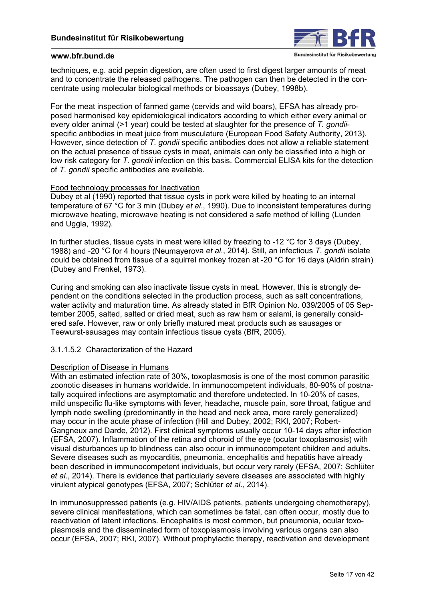

techniques, e.g. acid pepsin digestion, are often used to first digest larger amounts of meat and to concentrate the released pathogens. The pathogen can then be detected in the concentrate using molecular biological methods or bioassays (Dubey, 1998b).

For the meat inspection of farmed game (cervids and wild boars), EFSA has already proposed harmonised key epidemiological indicators according to which either every animal or every older animal (>1 year) could be tested at slaughter for the presence of *T. gondii*specific antibodies in meat juice from musculature (European Food Safety Authority, 2013). However, since detection of *T. gondii* specific antibodies does not allow a reliable statement on the actual presence of tissue cysts in meat, animals can only be classified into a high or low risk category for *T. gondii* infection on this basis. Commercial ELISA kits for the detection of *T. gondii* specific antibodies are available.

### Food technology processes for Inactivation

Dubey et al (1990) reported that tissue cysts in pork were killed by heating to an internal temperature of 67 °C for 3 min (Dubey *et al*., 1990). Due to inconsistent temperatures during microwave heating, microwave heating is not considered a safe method of killing (Lunden and Uggla, 1992).

In further studies, tissue cysts in meat were killed by freezing to -12 °C for 3 days (Dubey, 1988) and -20 °C for 4 hours (Neumayerova *et al*., 2014). Still, an infectious *T. gondii* isolate could be obtained from tissue of a squirrel monkey frozen at -20 °C for 16 days (Aldrin strain) (Dubey and Frenkel, 1973).

Curing and smoking can also inactivate tissue cysts in meat. However, this is strongly dependent on the conditions selected in the production process, such as salt concentrations, water activity and maturation time. As already stated in BfR Opinion No. 039/2005 of 05 September 2005, salted, salted or dried meat, such as raw ham or salami, is generally considered safe. However, raw or only briefly matured meat products such as sausages or Teewurst-sausages may contain infectious tissue cysts (BfR, 2005).

# 3.1.1.5.2 Characterization of the Hazard

### Description of Disease in Humans

With an estimated infection rate of 30%, toxoplasmosis is one of the most common parasitic zoonotic diseases in humans worldwide. In immunocompetent individuals, 80-90% of postnatally acquired infections are asymptomatic and therefore undetected. In 10-20% of cases, mild unspecific flu-like symptoms with fever, headache, muscle pain, sore throat, fatigue and lymph node swelling (predominantly in the head and neck area, more rarely generalized) may occur in the acute phase of infection (Hill and Dubey, 2002; RKI, 2007; Robert-Gangneux and Darde, 2012). First clinical symptoms usually occur 10-14 days after infection (EFSA, 2007). Inflammation of the retina and choroid of the eye (ocular toxoplasmosis) with visual disturbances up to blindness can also occur in immunocompetent children and adults. Severe diseases such as myocarditis, pneumonia, encephalitis and hepatitis have already been described in immunocompetent individuals, but occur very rarely (EFSA, 2007; Schlüter *et al*., 2014). There is evidence that particularly severe diseases are associated with highly virulent atypical genotypes (EFSA, 2007; Schlüter *et al*., 2014).

In immunosuppressed patients (e.g. HIV/AIDS patients, patients undergoing chemotherapy), severe clinical manifestations, which can sometimes be fatal, can often occur, mostly due to reactivation of latent infections. Encephalitis is most common, but pneumonia, ocular toxoplasmosis and the disseminated form of toxoplasmosis involving various organs can also occur (EFSA, 2007; RKI, 2007). Without prophylactic therapy, reactivation and development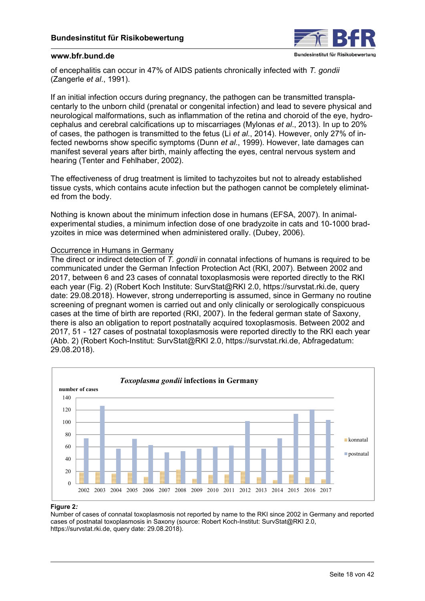

of encephalitis can occur in 47% of AIDS patients chronically infected with *T. gondii* (Zangerle *et al*., 1991).

If an initial infection occurs during pregnancy, the pathogen can be transmitted transplacentarly to the unborn child (prenatal or congenital infection) and lead to severe physical and neurological malformations, such as inflammation of the retina and choroid of the eye, hydrocephalus and cerebral calcifications up to miscarriages (Mylonas *et al*., 2013). In up to 20% of cases, the pathogen is transmitted to the fetus (Li *et al*., 2014). However, only 27% of infected newborns show specific symptoms (Dunn *et al*., 1999). However, late damages can manifest several years after birth, mainly affecting the eyes, central nervous system and hearing (Tenter and Fehlhaber, 2002).

The effectiveness of drug treatment is limited to tachyzoites but not to already established tissue cysts, which contains acute infection but the pathogen cannot be completely eliminated from the body.

Nothing is known about the minimum infection dose in humans (EFSA, 2007). In animalexperimental studies, a minimum infection dose of one bradyzoite in cats and 10-1000 bradyzoites in mice was determined when administered orally. (Dubey, 2006).

## Occurrence in Humans in Germany

The direct or indirect detection of *T. gondii* in connatal infections of humans is required to be communicated under the German Infection Protection Act (RKI, 2007). Between 2002 and 2017, between 6 and 23 cases of connatal toxoplasmosis were reported directly to the RKI each year (Fig. 2) (Robert Koch Institute: SurvStat@RKI 2.0, <https://survstat.rki.de>, query date: 29.08.2018). However, strong underreporting is assumed, since in Germany no routine screening of pregnant women is carried out and only clinically or serologically conspicuous cases at the time of birth are reported (RKI, 2007). In the federal german state of Saxony, there is also an obligation to report postnatally acquired toxoplasmosis. Between 2002 and 2017, 51 - 127 cases of postnatal toxoplasmosis were reported directly to the RKI each year (Abb. 2) (Robert Koch-Institut: SurvStat@RKI 2.0, [https://survstat.rki.de,](https://survstat.rki.de) Abfragedatum: 29.08.2018).



#### **Figure 2***:*

Number of cases of connatal toxoplasmosis not reported by name to the RKI since 2002 in Germany and reported cases of postnatal toxoplasmosis in Saxony (source: Robert Koch-Institut: SurvStat@RKI 2.0, [https://survstat.rki.de,](https://survstat.rki.de) query date: 29.08.2018).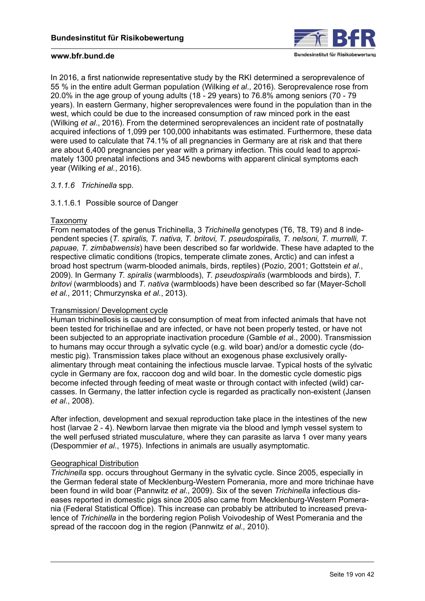

In 2016, a first nationwide representative study by the RKI determined a seroprevalence of 55 % in the entire adult German population (Wilking *et al*., 2016). Seroprevalence rose from 20.0% in the age group of young adults (18 - 29 years) to 76.8% among seniors (70 - 79 years). In eastern Germany, higher seroprevalences were found in the population than in the west, which could be due to the increased consumption of raw minced pork in the east (Wilking *et al*., 2016). From the determined seroprevalences an incident rate of postnatally acquired infections of 1,099 per 100,000 inhabitants was estimated. Furthermore, these data were used to calculate that 74.1% of all pregnancies in Germany are at risk and that there are about 6,400 pregnancies per year with a primary infection. This could lead to approximately 1300 prenatal infections and 345 newborns with apparent clinical symptoms each year (Wilking *et al.*, 2016).

### *3.1.1.6 Trichinella* spp.

## 3.1.1.6.1 Possible source of Danger

### Taxonomy

From nematodes of the genus Trichinella, 3 *Trichinella* genotypes (T6, T8, T9) and 8 independent species (*T. spiralis, T. nativa, T. britovi, T. pseudospiralis, T. nelsoni, T. murrelli, T. papuae, T. zimbabwensis*) have been described so far worldwide. These have adapted to the respective climatic conditions (tropics, temperate climate zones, Arctic) and can infest a broad host spectrum (warm-blooded animals, birds, reptiles) (Pozio, 2001; Gottstein *et al*., 2009). In Germany *T. spiralis* (warmbloods), *T. pseudospiralis* (warmbloods and birds), *T. britovi* (warmbloods) and *T. nativa* (warmbloods) have been described so far (Mayer-Scholl *et al.*, 2011; Chmurzynska *et al.*, 2013).

### Transmission/ Development cycle

Human trichinellosis is caused by consumption of meat from infected animals that have not been tested for trichinellae and are infected, or have not been properly tested, or have not been subjected to an appropriate inactivation procedure (Gamble *et a*l., 2000). Transmission to humans may occur through a sylvatic cycle (e.g. wild boar) and/or a domestic cycle (domestic pig). Transmission takes place without an exogenous phase exclusively orallyalimentary through meat containing the infectious muscle larvae. Typical hosts of the sylvatic cycle in Germany are fox, raccoon dog and wild boar. In the domestic cycle domestic pigs become infected through feeding of meat waste or through contact with infected (wild) carcasses. In Germany, the latter infection cycle is regarded as practically non-existent (Jansen *et al*., 2008).

After infection, development and sexual reproduction take place in the intestines of the new host (larvae 2 - 4). Newborn larvae then migrate via the blood and lymph vessel system to the well perfused striated musculature, where they can parasite as larva 1 over many years (Despommier *et al*., 1975). Infections in animals are usually asymptomatic.

### Geographical Distribution

*Trichinella* spp. occurs throughout Germany in the sylvatic cycle. Since 2005, especially in the German federal state of Mecklenburg-Western Pomerania, more and more trichinae have been found in wild boar (Pannwitz *et al*., 2009). Six of the seven *Trichinella* infectious diseases reported in domestic pigs since 2005 also came from Mecklenburg-Western Pomerania (Federal Statistical Office). This increase can probably be attributed to increased prevalence of *Trichinella* in the bordering region Polish Voivodeship of West Pomerania and the spread of the raccoon dog in the region (Pannwitz *et al.,* 2010).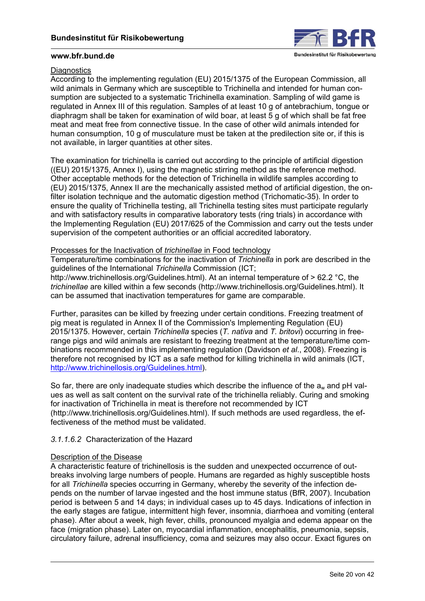

## **Diagnostics**

According to the implementing regulation (EU) 2015/1375 of the European Commission, all wild animals in Germany which are susceptible to Trichinella and intended for human consumption are subjected to a systematic Trichinella examination. Sampling of wild game is regulated in Annex III of this regulation. Samples of at least 10 g of antebrachium, tongue or diaphragm shall be taken for examination of wild boar, at least 5 g of which shall be fat free meat and meat free from connective tissue. In the case of other wild animals intended for human consumption, 10 g of musculature must be taken at the predilection site or, if this is not available, in larger quantities at other sites.

The examination for trichinella is carried out according to the principle of artificial digestion ((EU) 2015/1375, Annex I), using the magnetic stirring method as the reference method. Other acceptable methods for the detection of Trichinella in wildlife samples according to (EU) 2015/1375, Annex II are the mechanically assisted method of artificial digestion, the onfilter isolation technique and the automatic digestion method (Trichomatic-35). In order to ensure the quality of Trichinella testing, all Trichinella testing sites must participate regularly and with satisfactory results in comparative laboratory tests (ring trials) in accordance with the Implementing Regulation (EU) 2017/625 of the Commission and carry out the tests under supervision of the competent authorities or an official accredited laboratory.

## Processes for the Inactivation of *trichinellae* in Food technology

Temperature/time combinations for the inactivation of *Trichinella* in pork are described in the guidelines of the International *Trichinella* Commission (ICT; <http://www.trichinellosis.org/Guidelines.html>). At an internal temperature of > 62.2 °C, the *trichinellae* are killed within a few seconds ([http://www.trichinellosis.org/Guidelines.html\)](http://www.trichinellosis.org/Guidelines.html). It can be assumed that inactivation temperatures for game are comparable.

Further, parasites can be killed by freezing under certain conditions. Freezing treatment of pig meat is regulated in Annex II of the Commission's Implementing Regulation (EU) 2015/1375. However, certain *Trichinella* species (*T. nativa* and *T. britovi*) occurring in freerange pigs and wild animals are resistant to freezing treatment at the temperature/time combinations recommended in this implementing regulation (Davidson *et al*., 2008). Freezing is therefore not recognised by ICT as a safe method for killing trichinella in wild animals (ICT, <http://www.trichinellosis.org/Guidelines.html>).

So far, there are only inadequate studies which describe the influence of the  $a_w$  and pH values as well as salt content on the survival rate of the trichinella reliably. Curing and smoking for inactivation of Trichinella in meat is therefore not recommended by ICT ([http://www.trichinellosis.org/Guidelines.html\)](http://www.trichinellosis.org/Guidelines.html). If such methods are used regardless, the effectiveness of the method must be validated.

### *3.1.1.6.2* Characterization of the Hazard

### Description of the Disease

A characteristic feature of trichinellosis is the sudden and unexpected occurrence of outbreaks involving large numbers of people. Humans are regarded as highly susceptible hosts for all *Trichinella* species occurring in Germany, whereby the severity of the infection depends on the number of larvae ingested and the host immune status (BfR, 2007). Incubation period is between 5 and 14 days; in individual cases up to 45 days. Indications of infection in the early stages are fatigue, intermittent high fever, insomnia, diarrhoea and vomiting (enteral phase). After about a week, high fever, chills, pronounced myalgia and edema appear on the face (migration phase). Later on, myocardial inflammation, encephalitis, pneumonia, sepsis, circulatory failure, adrenal insufficiency, coma and seizures may also occur. Exact figures on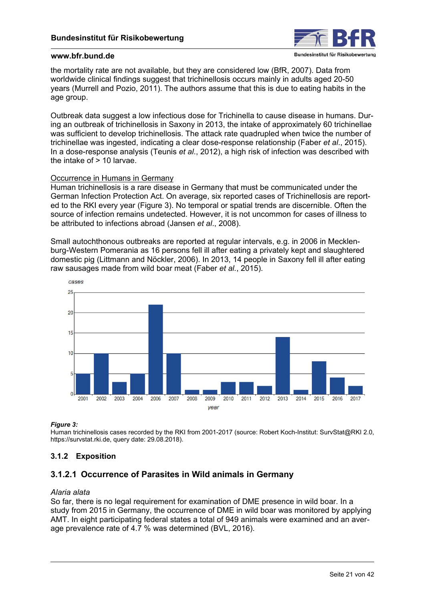

the mortality rate are not available, but they are considered low (BfR, 2007). Data from worldwide clinical findings suggest that trichinellosis occurs mainly in adults aged 20-50 years (Murrell and Pozio, 2011). The authors assume that this is due to eating habits in the age group.

Outbreak data suggest a low infectious dose for Trichinella to cause disease in humans. During an outbreak of trichinellosis in Saxony in 2013, the intake of approximately 60 trichinellae was sufficient to develop trichinellosis. The attack rate quadrupled when twice the number of trichinellae was ingested, indicating a clear dose-response relationship (Faber *et al*., 2015). In a dose-response analysis (Teunis *et al*., 2012), a high risk of infection was described with the intake of > 10 larvae.

### Occurrence in Humans in Germany

Human trichinellosis is a rare disease in Germany that must be communicated under the German Infection Protection Act. On average, six reported cases of Trichinellosis are reported to the RKI every year (Figure 3). No temporal or spatial trends are discernible. Often the source of infection remains undetected. However, it is not uncommon for cases of illness to be attributed to infections abroad (Jansen *et al*., 2008).

Small autochthonous outbreaks are reported at regular intervals, e.g. in 2006 in Mecklenburg-Western Pomerania as 16 persons fell ill after eating a privately kept and slaughtered domestic pig (Littmann and Nöckler, 2006). In 2013, 14 people in Saxony fell ill after eating raw sausages made from wild boar meat (Faber *et al.*, 2015).



#### *Figure 3:*

Human trichinellosis cases recorded by the RKI from 2001-2017 (source: Robert Koch-Institut: SurvStat@RKI 2.0, [https://survstat.rki.de,](https://survstat.rki.de) query date: 29.08.2018).

## **3.1.2 Exposition**

## **3.1.2.1 Occurrence of Parasites in Wild animals in Germany**

#### *Alaria alata*

So far, there is no legal requirement for examination of DME presence in wild boar. In a study from 2015 in Germany, the occurrence of DME in wild boar was monitored by applying AMT. In eight participating federal states a total of 949 animals were examined and an average prevalence rate of 4.7 % was determined (BVL, 2016).

Bundesinstitut für Risikobewertung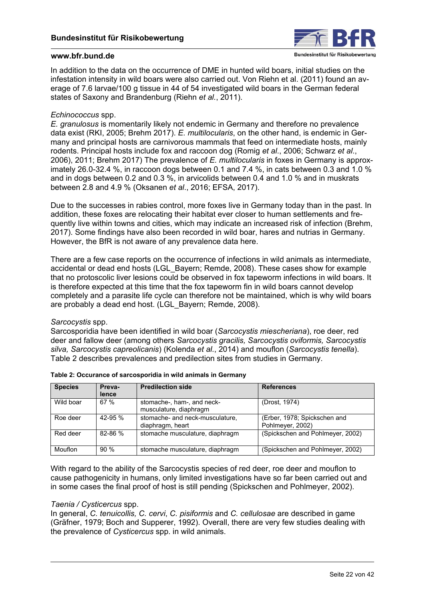

In addition to the data on the occurrence of DME in hunted wild boars, initial studies on the infestation intensity in wild boars were also carried out. Von Riehn et al. (2011) found an average of 7.6 larvae/100 g tissue in 44 of 54 investigated wild boars in the German federal states of Saxony and Brandenburg (Riehn *et al.*, 2011).

## *Echinococcus* spp.

*E. granulosus* is momentarily likely not endemic in Germany and therefore no prevalence data exist (RKI, 2005; Brehm 2017). *E. multilocularis*, on the other hand, is endemic in Germany and principal hosts are carnivorous mammals that feed on intermediate hosts, mainly rodents. Principal hosts include fox and raccoon dog (Romig *et al*., 2006; Schwarz *et al*., 2006), 2011; Brehm 2017) The prevalence of *E. multilocularis* in foxes in Germany is approximately 26.0-32.4 %, in raccoon dogs between 0.1 and 7.4 %, in cats between 0.3 and 1.0 % and in dogs between 0.2 and 0.3 %, in arvicolids between 0.4 and 1.0 % and in muskrats between 2.8 and 4.9 % (Oksanen *et al*., 2016; EFSA, 2017).

Due to the successes in rabies control, more foxes live in Germany today than in the past. In addition, these foxes are relocating their habitat ever closer to human settlements and frequently live within towns and cities, which may indicate an increased risk of infection (Brehm, 2017). Some findings have also been recorded in wild boar, hares and nutrias in Germany. However, the BfR is not aware of any prevalence data here.

There are a few case reports on the occurrence of infections in wild animals as intermediate, accidental or dead end hosts (LGL\_Bayern; Remde, 2008). These cases show for example that no protoscolic liver lesions could be observed in fox tapeworm infections in wild boars. It is therefore expected at this time that the fox tapeworm fin in wild boars cannot develop completely and a parasite life cycle can therefore not be maintained, which is why wild boars are probably a dead end host. (LGL\_Bayern; Remde, 2008).

### *Sarcocystis* spp.

Sarcosporidia have been identified in wild boar (*Sarcocystis miescheriana*), roe deer, red deer and fallow deer (among others *Sarcocystis gracilis, Sarcocystis oviformis, Sarcocystis silva, Sarcocystis capreolicanis*) (Kolenda *et al.*, 2014) and mouflon (*Sarcocystis tenella*). Table 2 describes prevalences and predilection sites from studies in Germany.

| <b>Species</b> | Preva-<br>lence | <b>Predilection side</b>                             | <b>References</b>                                |
|----------------|-----------------|------------------------------------------------------|--------------------------------------------------|
| Wild boar      | 67%             | stomache-, ham-, and neck-<br>musculature, diaphragm | (Drost, 1974)                                    |
| Roe deer       | 42-95 $%$       | stomache- and neck-musculature.<br>diaphragm, heart  | (Erber, 1978; Spickschen and<br>Pohlmeyer, 2002) |
| Red deer       | 82-86 %         | stomache musculature, diaphragm                      | (Spickschen and Pohlmeyer, 2002)                 |
| Mouflon        | 90%             | stomache musculature, diaphragm                      | (Spickschen and Pohlmeyer, 2002)                 |

| Table 2: Occurance of sarcosporidia in wild animals in Germany |  |  |  |
|----------------------------------------------------------------|--|--|--|
|----------------------------------------------------------------|--|--|--|

With regard to the ability of the Sarcocystis species of red deer, roe deer and mouflon to cause pathogenicity in humans, only limited investigations have so far been carried out and in some cases the final proof of host is still pending (Spickschen and Pohlmeyer, 2002).

### *Taenia / Cysticercus* spp.

In general, *C. tenuicollis, C. cervi*, *C. pisiformis* and *C. cellulosae* are described in game (Gräfner, 1979; Boch and Supperer, 1992). Overall, there are very few studies dealing with the prevalence of *Cysticercus* spp. in wild animals.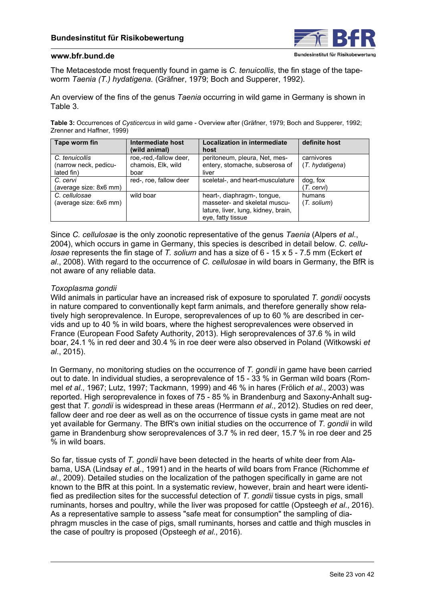

The Metacestode most frequently found in game is *C. tenuicollis*, the fin stage of the tapeworm *Taenia (T.) hydatigena.* (Gräfner, 1979; Boch and Supperer, 1992).

An overview of the fins of the genus *Taenia* occurring in wild game in Germany is shown in Table 3.

**Table 3:** Occurrences of *Cysticercus* in wild game - Overview after (Gräfner, 1979; Boch and Supperer, 1992; Zrenner and Haffner, 1999)

| Tape worm fin                                         | Intermediate host                                    | <b>Localization in intermediate</b>                                                                                      | definite host                |
|-------------------------------------------------------|------------------------------------------------------|--------------------------------------------------------------------------------------------------------------------------|------------------------------|
|                                                       | (wild animal)                                        | host                                                                                                                     |                              |
| C. tenuicollis<br>(narrow neck, pedicu-<br>lated fin) | roe,-red,-fallow deer,<br>chamois, Elk, wild<br>boar | peritoneum, pleura, Net, mes-<br>entery, stomache, subserosa of<br>liver                                                 | carnivores<br>(T. hvdatigen) |
| C. cervi<br>(average size: 8x6 mm)                    | red-, roe, fallow deer                               | sceletal-, and heart-musculature                                                                                         | dog, fox<br>(T. cervi)       |
| C. cellulosae<br>(average size: 6x6 mm)               | wild boar                                            | heart-, diaphragm-, tongue,<br>masseter- and skeletal muscu-<br>lature, liver, lung, kidney, brain,<br>eve, fatty tissue | humans<br>$(T.$ solium $)$   |

Since *C. cellulosae* is the only zoonotic representative of the genus *Taenia* (Alpers *et al*., 2004), which occurs in game in Germany, this species is described in detail below. *C. cellulosae* represents the fin stage of *T. solium* and has a size of 6 - 15 x 5 - 7.5 mm (Eckert *et al*., 2008). With regard to the occurrence of *C. cellulosae* in wild boars in Germany, the BfR is not aware of any reliable data.

### *Toxoplasma gondii*

Wild animals in particular have an increased risk of exposure to sporulated *T. gondii* oocysts in nature compared to conventionally kept farm animals, and therefore generally show relatively high seroprevalence. In Europe, seroprevalences of up to 60 % are described in cervids and up to 40 % in wild boars, where the highest seroprevalences were observed in France (European Food Safety Authority, 2013). High seroprevalences of 37.6 % in wild boar, 24.1 % in red deer and 30.4 % in roe deer were also observed in Poland (Witkowski *et al*., 2015).

In Germany, no monitoring studies on the occurrence of *T. gondii* in game have been carried out to date. In individual studies, a seroprevalence of 15 - 33 % in German wild boars (Rommel *et al*., 1967; Lutz, 1997; Tackmann, 1999) and 46 % in hares (Frölich *et al*., 2003) was reported. High seroprevalence in foxes of 75 - 85 % in Brandenburg and Saxony-Anhalt suggest that *T. gondii* is widespread in these areas (Herrmann *et al*., 2012). Studies on red deer, fallow deer and roe deer as well as on the occurrence of tissue cysts in game meat are not yet available for Germany. The BfR's own initial studies on the occurrence of *T. gondii* in wild game in Brandenburg show seroprevalences of 3.7 % in red deer, 15.7 % in roe deer and 25 % in wild boars.

So far, tissue cysts of *T. gondii* have been detected in the hearts of white deer from Alabama, USA (Lindsay *et a*l., 1991) and in the hearts of wild boars from France (Richomme *et al*., 2009). Detailed studies on the localization of the pathogen specifically in game are not known to the BfR at this point. In a systematic review, however, brain and heart were identified as predilection sites for the successful detection of *T. gondii* tissue cysts in pigs, small ruminants, horses and poultry, while the liver was proposed for cattle (Opsteegh *et al*., 2016). As a representative sample to assess "safe meat for consumption" the sampling of diaphragm muscles in the case of pigs, small ruminants, horses and cattle and thigh muscles in the case of poultry is proposed (Opsteegh *et al.*, 2016).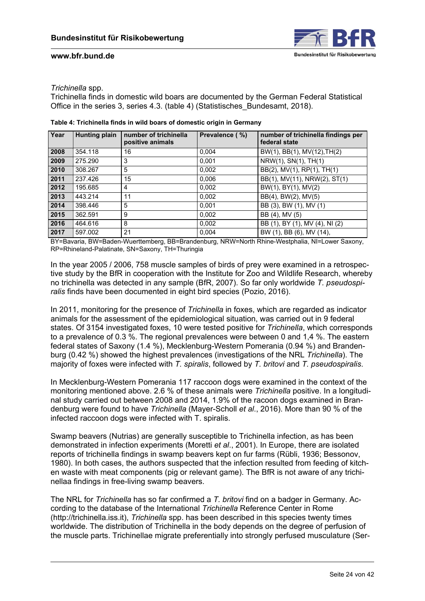

## *Trichinella* spp.

Trichinella finds in domestic wild boars are documented by the German Federal Statistical Office in the series 3, series 4.3. (table 4) (Statistisches\_Bundesamt, 2018).

| Year | <b>Hunting plain</b> | number of trichinella<br>positive animals | Prevalence (%) | number of trichinella findings per<br>federal state |
|------|----------------------|-------------------------------------------|----------------|-----------------------------------------------------|
| 2008 | 354.118              | 16                                        | 0,004          | BW(1), BB(1), MV(12), TH(2)                         |
| 2009 | 275.290              | 3                                         | 0,001          | $N$ RW(1), SN(1), TH(1)                             |
| 2010 | 308.267              | 5                                         | 0,002          | BB(2), MV(1), RP(1), TH(1)                          |
| 2011 | 237.426              | 15                                        | 0,006          | BB(1), MV(11), NRW(2), ST(1)                        |
| 2012 | 195.685              | 4                                         | 0,002          | BW(1), BY(1), MV(2)                                 |
| 2013 | 443.214              | 11                                        | 0.002          | BB(4), BW(2), MV(5)                                 |
| 2014 | 398.446              | 5                                         | 0,001          | BB (3), BW (1), MV (1)                              |
| 2015 | 362.591              | 9                                         | 0.002          | BB (4), MV (5)                                      |
| 2016 | 464.616              | 8                                         | 0.002          | BB (1), BY (1), MV (4), NI (2)                      |
| 2017 | 597.002              | 21                                        | 0,004          | BW (1), BB (6), MV (14),                            |

**Table 4: Trichinella finds in wild boars of domestic origin in Germany** 

BY=Bavaria, BW=Baden-Wuerttemberg, BB=Brandenburg, NRW=North Rhine-Westphalia, NI=Lower Saxony, RP=Rhineland-Palatinate, SN=Saxony, TH=Thuringia

In the year 2005 / 2006, 758 muscle samples of birds of prey were examined in a retrospective study by the BfR in cooperation with the Institute for Zoo and Wildlife Research, whereby no trichinella was detected in any sample (BfR, 2007). So far only worldwide *T. pseudospiralis* finds have been documented in eight bird species (Pozio, 2016).

In 2011, monitoring for the presence of *Trichinella* in foxes, which are regarded as indicator animals for the assessment of the epidemiological situation, was carried out in 9 federal states. Of 3154 investigated foxes, 10 were tested positive for *Trichinella*, which corresponds to a prevalence of 0.3 %. The regional prevalences were between 0 and 1,4 %. The eastern federal states of Saxony (1.4 %), Mecklenburg-Western Pomerania (0.94 %) and Brandenburg (0.42 %) showed the highest prevalences (investigations of the NRL *Trichinella*). The majority of foxes were infected with *T. spiralis*, followed by *T. britovi* and *T. pseudospiralis*.

In Mecklenburg-Western Pomerania 117 raccoon dogs were examined in the context of the monitoring mentioned above. 2.6 % of these animals were *Trichinella* positive. In a longitudinal study carried out between 2008 and 2014, 1.9% of the racoon dogs examined in Brandenburg were found to have *Trichinella* (Mayer-Scholl *et al*., 2016). More than 90 % of the infected raccoon dogs were infected with T. spiralis.

Swamp beavers (Nutrias) are generally susceptible to Trichinella infection, as has been demonstrated in infection experiments (Moretti *et al*., 2001). In Europe, there are isolated reports of trichinella findings in swamp beavers kept on fur farms (Rübli, 1936; Bessonov, 1980). In both cases, the authors suspected that the infection resulted from feeding of kitchen waste with meat components (pig or relevant game). The BfR is not aware of any trichinellaa findings in free-living swamp beavers.

The NRL for *Trichinella* has so far confirmed a *T. britovi* find on a badger in Germany. According to the database of the International *Trichinella* Reference Center in Rome ([http://trichinella.iss.it\)](http://trichinella.iss.it), *Trichinella* spp. has been described in this species twenty times worldwide. The distribution of Trichinella in the body depends on the degree of perfusion of the muscle parts. Trichinellae migrate preferentially into strongly perfused musculature (Ser-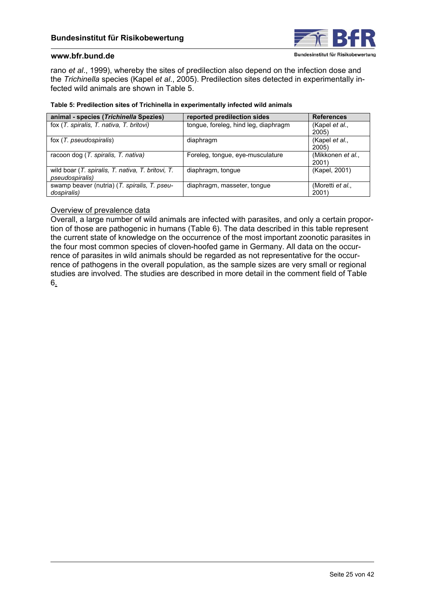

rano *et al*., 1999), whereby the sites of predilection also depend on the infection dose and the *Trichinella* species (Kapel *et al*., 2005). Predilection sites detected in experimentally infected wild animals are shown in Table 5.

### **Table 5: Predilection sites of Trichinella in experimentally infected wild animals**

| animal - species (Trichinella Spezies)                                       | reported predilection sides          | <b>References</b>          |
|------------------------------------------------------------------------------|--------------------------------------|----------------------------|
| fox (T. spiralis, T. nativa, T. britovi)                                     | tongue, foreleg, hind leg, diaphragm | (Kapel et al.,<br>2005)    |
| fox (T. pseudospiralis)                                                      | diaphragm                            | (Kapel et al.,<br>2005)    |
| racoon dog (T. spiralis, T. nativa)                                          | Foreleg, tongue, eye-musculature     | (Mikkonen et al.,<br>2001) |
| wild boar (T. spiralis, T. nativa, T. britovi, T.<br><i>pseudospiralis</i> ) | diaphragm, tongue                    | (Kapel, 2001)              |
| swamp beaver (nutria) (T. spiralis, T. pseu-<br>dospiralis)                  | diaphragm, masseter, tongue          | (Moretti et al.,<br>2001)  |

## Overview of prevalence data

 6.Overall, a large number of wild animals are infected with parasites, and only a certain proportion of those are pathogenic in humans [\(Table 6\)](#page-25-0). The data described in this table represent the current state of knowledge on the occurrence of the most important zoonotic parasites in the four most common species of cloven-hoofed game in Germany. All data on the occurrence of parasites in wild animals should be regarded as not representative for the occurrence of pathogens in the overall population, as the sample sizes are very small or regional [studies are involved. The studies are described in more detail in the comment field of Table](#page-25-0)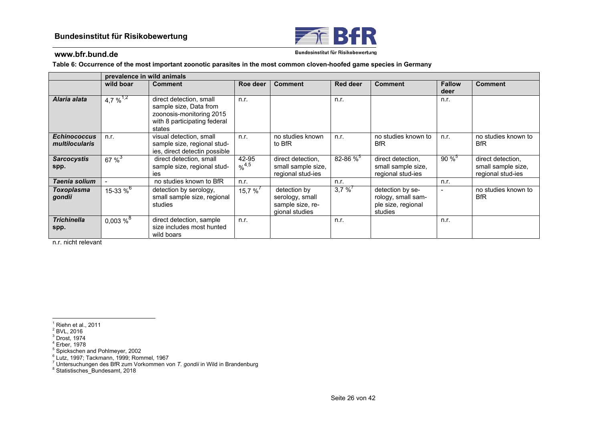

Bundesinstitut für Risikobewertung

<span id="page-25-0"></span>**Table 6: Occurrence of the most important zoonotic parasites in the most common cloven-hoofed game species in Germany** 

|                                              |                        | prevalence in wild animals                                                                                              |                                       |                                                                       |                 |                                                                         |                       |                                                              |  |
|----------------------------------------------|------------------------|-------------------------------------------------------------------------------------------------------------------------|---------------------------------------|-----------------------------------------------------------------------|-----------------|-------------------------------------------------------------------------|-----------------------|--------------------------------------------------------------|--|
|                                              | wild boar              | <b>Comment</b>                                                                                                          | Roe deer                              | <b>Comment</b>                                                        | <b>Red deer</b> | <b>Comment</b>                                                          | <b>Fallow</b><br>deer | <b>Comment</b>                                               |  |
| Alaria alata                                 | $4,7\%^{1,2}$          | direct detection, small<br>sample size, Data from<br>zoonosis-monitoring 2015<br>with 8 participating federal<br>states | n.r.                                  |                                                                       | n.r.            |                                                                         | n.r.                  |                                                              |  |
| <b>Echinococcus</b><br><i>multilocularis</i> | n.r.                   | visual detection, small<br>sample size, regional stud-<br>ies, direct detectin possible                                 | n.r.                                  | no studies known<br>to BfR                                            | n.r.            | no studies known to<br><b>BfR</b>                                       | n.r.                  | no studies known to<br><b>BfR</b>                            |  |
| <b>Sarcocystis</b><br>spp.                   | $67\%^{3}$             | direct detection, small<br>sample size, regional stud-<br>ies                                                           | 42-95<br>$\frac{9}{6}$ <sup>4,5</sup> | direct detection.<br>small sample size,<br>regional stud-ies          | $82 - 86 \%$    | direct detection.<br>small sample size,<br>regional stud-ies            | $90\%^{5}$            | direct detection,<br>small sample size,<br>regional stud-ies |  |
| Taenia solium                                |                        | no studies known to BfR                                                                                                 | n.r.                                  |                                                                       | n.r.            |                                                                         | n.r.                  |                                                              |  |
| Toxoplasma<br>gondii                         | 15-33 $\%^6$           | detection by serology,<br>small sample size, regional<br>studies                                                        | 15,7 % $'$                            | detection by<br>serology, small<br>sample size, re-<br>gional studies | 3,7%            | detection by se-<br>rology, small sam-<br>ple size, regional<br>studies |                       | no studies known to<br><b>BfR</b>                            |  |
| <b>Trichinella</b><br>spp.                   | $0,003~%$ <sup>8</sup> | direct detection, sample<br>size includes most hunted<br>wild boars                                                     | n.r.                                  |                                                                       | n.r.            |                                                                         | n.r.                  |                                                              |  |

n.r. nicht relevant

 $^{\rm 1}$  Riehn et al., 2011<br> $^{\rm 2}$  BVL, 2016

 $3$  Drost, 1974

4 Erber, 1978

<sup>5</sup> Spickschen and Pohlmeyer, 2002

 $^6$  Lutz, 1997; Tackmann, 1999; Rommel, 1967

7 Untersuchungen des BfR zum Vorkommen von *T. gondii* in Wild in Brandenburg

<sup>8</sup> Statistisches Bundesamt, 2018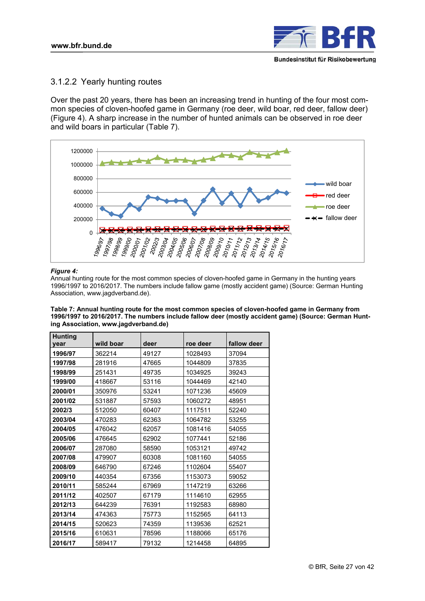

## <span id="page-26-0"></span>3.1.2.2 Yearly hunting routes

Over the past 20 years, there has been an increasing trend in hunting of the four most common species of cloven-hoofed game in Germany (roe deer, wild boar, red deer, fallow deer) (Figure 4). A sharp increase in the number of hunted animals can be observed in roe deer and wild boars in particular (Table 7).



### *Figure 4:*

Annual hunting route for the most common species of cloven-hoofed game in Germany in the hunting years 1996/1997 to 2016/2017. The numbers include fallow game (mostly accident game) (Source: German Hunting Association[, www.jagdverband.de\)](www.jagdverband.de).

**Table 7: Annual hunting route for the most common species of cloven-hoofed game in Germany from 1996/1997 to 2016/2017. The numbers include fallow deer (mostly accident game) (Source: German Hunting Association[, www.jagdverband.de\)](www.jagdverband.de)** 

| <b>Hunting</b> |           |       |          |             |
|----------------|-----------|-------|----------|-------------|
| year           | wild boar | deer  | roe deer | fallow deer |
| 1996/97        | 362214    | 49127 | 1028493  | 37094       |
| 1997/98        | 281916    | 47665 | 1044809  | 37835       |
| 1998/99        | 251431    | 49735 | 1034925  | 39243       |
| 1999/00        | 418667    | 53116 | 1044469  | 42140       |
| 2000/01        | 350976    | 53241 | 1071236  | 45609       |
| 2001/02        | 531887    | 57593 | 1060272  | 48951       |
| 2002/3         | 512050    | 60407 | 1117511  | 52240       |
| 2003/04        | 470283    | 62363 | 1064782  | 53255       |
| 2004/05        | 476042    | 62057 | 1081416  | 54055       |
| 2005/06        | 476645    | 62902 | 1077441  | 52186       |
| 2006/07        | 287080    | 58590 | 1053121  | 49742       |
| 2007/08        | 479907    | 60308 | 1081160  | 54055       |
| 2008/09        | 646790    | 67246 | 1102604  | 55407       |
| 2009/10        | 440354    | 67356 | 1153073  | 59052       |
| 2010/11        | 585244    | 67969 | 1147219  | 63266       |
| 2011/12        | 402507    | 67179 | 1114610  | 62955       |
| 2012/13        | 644239    | 76391 | 1192583  | 68980       |
| 2013/14        | 474363    | 75773 | 1152565  | 64113       |
| 2014/15        | 520623    | 74359 | 1139536  | 62521       |
| 2015/16        | 610631    | 78596 | 1188066  | 65176       |
| 2016/17        | 589417    | 79132 | 1214458  | 64895       |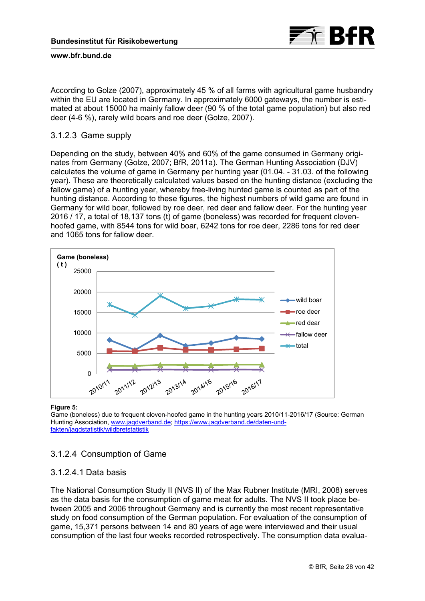

According to Golze (2007), approximately 45 % of all farms with agricultural game husbandry within the EU are located in Germany. In approximately 6000 gateways, the number is estimated at about 15000 ha mainly fallow deer (90 % of the total game population) but also red deer (4-6 %), rarely wild boars and roe deer (Golze, 2007).

## 3.1.2.3 Game supply

Depending on the study, between 40% and 60% of the game consumed in Germany originates from Germany (Golze, 2007; BfR, 2011a). The German Hunting Association (DJV) calculates the volume of game in Germany per hunting year (01.04. - 31.03. of the following year). These are theoretically calculated values based on the hunting distance (excluding the fallow game) of a hunting year, whereby free-living hunted game is counted as part of the hunting distance. According to these figures, the highest numbers of wild game are found in Germany for wild boar, followed by roe deer, red deer and fallow deer. For the hunting year 2016 / 17, a total of 18,137 tons (t) of game (boneless) was recorded for frequent clovenhoofed game, with 8544 tons for wild boar, 6242 tons for roe deer, 2286 tons for red deer and 1065 tons for fallow deer.



#### **Figure 5:**

Game (boneless) due to frequent cloven-hoofed game in the hunting years 2010/11-2016/17 (Source: German [Hunting Association,](https://www.jagdverband.de/daten-und-fakten/jagdstatistik/wildbretstatistik) [www.jagdverband.d](www.jagdverband.de)[e; https://www.jagdverband.de/daten-und](https://www.jagdverband.de/daten-und-fakten/jagdstatistik/wildbretstatistik)fakten/jagdstatistik/wildbretstatistik

## 3.1.2.4 Consumption of Game

## 3.1.2.4.1 Data basis

The National Consumption Study II (NVS II) of the Max Rubner Institute (MRI, 2008) serves as the data basis for the consumption of game meat for adults. The NVS II took place between 2005 and 2006 throughout Germany and is currently the most recent representative study on food consumption of the German population. For evaluation of the consumption of game, 15,371 persons between 14 and 80 years of age were interviewed and their usual consumption of the last four weeks recorded retrospectively. The consumption data evalua-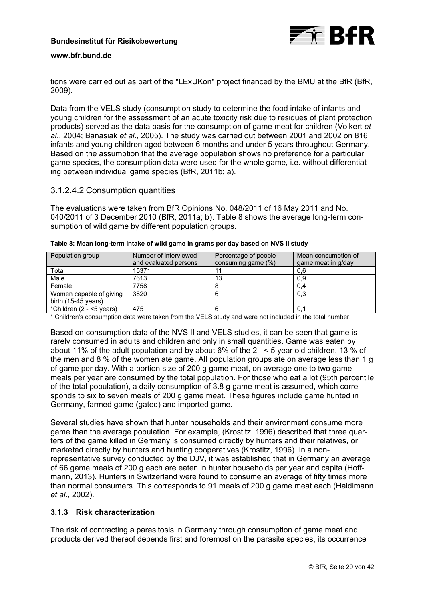

tions were carried out as part of the "LExUKon" project financed by the BMU at the BfR (BfR, 2009).

Data from the VELS study (consumption study to determine the food intake of infants and young children for the assessment of an acute toxicity risk due to residues of plant protection products) served as the data basis for the consumption of game meat for children (Volkert *et al*., 2004; Banasiak *et al*., 2005). The study was carried out between 2001 and 2002 on 816 infants and young children aged between 6 months and under 5 years throughout Germany. Based on the assumption that the average population shows no preference for a particular game species, the consumption data were used for the whole game, i.e. without differentiating between individual game species (BfR, 2011b; a).

## 3.1.2.4.2 Consumption quantities

The evaluations were taken from BfR Opinions No. 048/2011 of 16 May 2011 and No. 040/2011 of 3 December 2010 (BfR, 2011a; b). Table 8 shows the average long-term consumption of wild game by different population groups.

| Population group              | Number of interviewed | Percentage of people | Mean consumption of |
|-------------------------------|-----------------------|----------------------|---------------------|
|                               | and evaluated persons | consuming game (%)   | game meat in g/day  |
| Total                         | 15371                 |                      | 0,6                 |
| Male                          | 7613                  | 13                   | 0,9                 |
| Female                        | 7758                  |                      | 0,4                 |
| Women capable of giving       | 3820                  | 6                    | 0,3                 |
| birth $(15-45 \text{ years})$ |                       |                      |                     |
| *Children (2 - <5 years)      | 475                   | 6                    | 0.1                 |

|  |  | Table 8: Mean long-term intake of wild game in grams per day based on NVS II study |
|--|--|------------------------------------------------------------------------------------|
|  |  |                                                                                    |

\* Children's consumption data were taken from the VELS study and were not included in the total number.

Based on consumption data of the NVS II and VELS studies, it can be seen that game is rarely consumed in adults and children and only in small quantities. Game was eaten by about 11% of the adult population and by about 6% of the 2 - < 5 year old children. 13 % of the men and 8 % of the women ate game. All population groups ate on average less than 1 g of game per day. With a portion size of 200 g game meat, on average one to two game meals per year are consumed by the total population. For those who eat a lot (95th percentile of the total population), a daily consumption of 3.8 g game meat is assumed, which corresponds to six to seven meals of 200 g game meat. These figures include game hunted in Germany, farmed game (gated) and imported game.

Several studies have shown that hunter households and their environment consume more game than the average population. For example, (Krostitz, 1996) described that three quarters of the game killed in Germany is consumed directly by hunters and their relatives, or marketed directly by hunters and hunting cooperatives (Krostitz, 1996). In a nonrepresentative survey conducted by the DJV, it was established that in Germany an average of 66 game meals of 200 g each are eaten in hunter households per year and capita (Hoffmann, 2013). Hunters in Switzerland were found to consume an average of fifty times more than normal consumers. This corresponds to 91 meals of 200 g game meat each (Haldimann *et al*., 2002).

## **3.1.3 Risk characterization**

The risk of contracting a parasitosis in Germany through consumption of game meat and products derived thereof depends first and foremost on the parasite species, its occurrence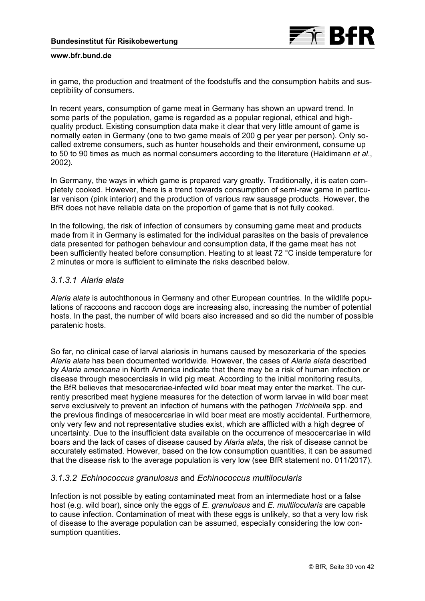

in game, the production and treatment of the foodstuffs and the consumption habits and susceptibility of consumers.

In recent years, consumption of game meat in Germany has shown an upward trend. In some parts of the population, game is regarded as a popular regional, ethical and highquality product. Existing consumption data make it clear that very little amount of game is normally eaten in Germany (one to two game meals of 200 g per year per person). Only socalled extreme consumers, such as hunter households and their environment, consume up to 50 to 90 times as much as normal consumers according to the literature (Haldimann *et al*., 2002).

In Germany, the ways in which game is prepared vary greatly. Traditionally, it is eaten completely cooked. However, there is a trend towards consumption of semi-raw game in particular venison (pink interior) and the production of various raw sausage products. However, the BfR does not have reliable data on the proportion of game that is not fully cooked.

In the following, the risk of infection of consumers by consuming game meat and products made from it in Germany is estimated for the individual parasites on the basis of prevalence data presented for pathogen behaviour and consumption data, if the game meat has not been sufficiently heated before consumption. Heating to at least 72 °C inside temperature for 2 minutes or more is sufficient to eliminate the risks described below.

# *3.1.3.1 Alaria alata*

*Alaria alata* is autochthonous in Germany and other European countries. In the wildlife populations of raccoons and raccoon dogs are increasing also, increasing the number of potential hosts. In the past, the number of wild boars also increased and so did the number of possible paratenic hosts.

So far, no clinical case of larval alariosis in humans caused by mesozerkaria of the species *Alaria alata* has been documented worldwide. However, the cases of *Alaria alata* described by *Alaria americana* in North America indicate that there may be a risk of human infection or disease through mesocerciasis in wild pig meat. According to the initial monitoring results, the BfR believes that mesocercriae-infected wild boar meat may enter the market. The currently prescribed meat hygiene measures for the detection of worm larvae in wild boar meat serve exclusively to prevent an infection of humans with the pathogen *Trichinella* spp. and the previous findings of mesocercariae in wild boar meat are mostly accidental. Furthermore, only very few and not representative studies exist, which are afflicted with a high degree of uncertainty. Due to the insufficient data available on the occurrence of mesocercariae in wild boars and the lack of cases of disease caused by *Alaria alata*, the risk of disease cannot be accurately estimated. However, based on the low consumption quantities, it can be assumed that the disease risk to the average population is very low (see BfR statement no. 011/2017).

## *3.1.3.2 Echinococcus granulosus* and *Echinococcus multilocularis*

Infection is not possible by eating contaminated meat from an intermediate host or a false host (e.g. wild boar), since only the eggs of *E. granulosus* and *E. multilocularis* are capable to cause infection. Contamination of meat with these eggs is unlikely, so that a very low risk of disease to the average population can be assumed, especially considering the low consumption quantities.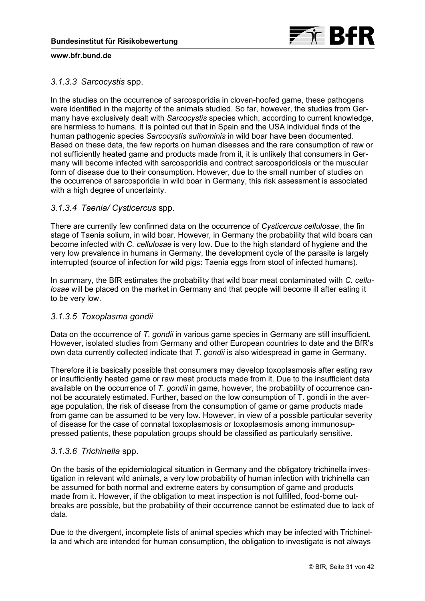

# *3.1.3.3 Sarcocystis* spp.

In the studies on the occurrence of sarcosporidia in cloven-hoofed game, these pathogens were identified in the majority of the animals studied. So far, however, the studies from Germany have exclusively dealt with *Sarcocystis* species which, according to current knowledge, are harmless to humans. It is pointed out that in Spain and the USA individual finds of the human pathogenic species *Sarcocystis suihominis* in wild boar have been documented. Based on these data, the few reports on human diseases and the rare consumption of raw or not sufficiently heated game and products made from it, it is unlikely that consumers in Germany will become infected with sarcosporidia and contract sarcosporidiosis or the muscular form of disease due to their consumption. However, due to the small number of studies on the occurrence of sarcosporidia in wild boar in Germany, this risk assessment is associated with a high degree of uncertainty.

## *3.1.3.4 Taenia/ Cysticercus* spp.

There are currently few confirmed data on the occurrence of *Cysticercus cellulosae*, the fin stage of Taenia solium, in wild boar. However, in Germany the probability that wild boars can become infected with *C. cellulosae* is very low. Due to the high standard of hygiene and the very low prevalence in humans in Germany, the development cycle of the parasite is largely interrupted (source of infection for wild pigs: Taenia eggs from stool of infected humans).

In summary, the BfR estimates the probability that wild boar meat contaminated with *C. cellulosae* will be placed on the market in Germany and that people will become ill after eating it to be very low.

## *3.1.3.5 Toxoplasma gondii*

Data on the occurrence of *T. gondii* in various game species in Germany are still insufficient. However, isolated studies from Germany and other European countries to date and the BfR's own data currently collected indicate that *T. gondii* is also widespread in game in Germany.

Therefore it is basically possible that consumers may develop toxoplasmosis after eating raw or insufficiently heated game or raw meat products made from it. Due to the insufficient data available on the occurrence of *T. gondii* in game, however, the probability of occurrence cannot be accurately estimated. Further, based on the low consumption of T. gondii in the average population, the risk of disease from the consumption of game or game products made from game can be assumed to be very low. However, in view of a possible particular severity of disease for the case of connatal toxoplasmosis or toxoplasmosis among immunosuppressed patients, these population groups should be classified as particularly sensitive.

## *3.1.3.6 Trichinella* spp.

On the basis of the epidemiological situation in Germany and the obligatory trichinella investigation in relevant wild animals, a very low probability of human infection with trichinella can be assumed for both normal and extreme eaters by consumption of game and products made from it. However, if the obligation to meat inspection is not fulfilled, food-borne outbreaks are possible, but the probability of their occurrence cannot be estimated due to lack of data.

Due to the divergent, incomplete lists of animal species which may be infected with Trichinella and which are intended for human consumption, the obligation to investigate is not always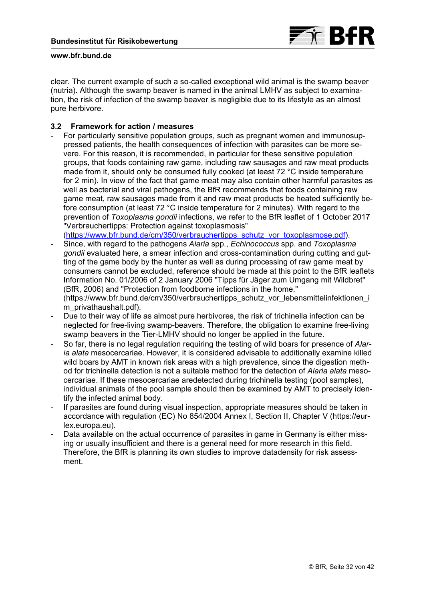

clear. The current example of such a so-called exceptional wild animal is the swamp beaver (nutria). Although the swamp beaver is named in the animal LMHV as subject to examination, the risk of infection of the swamp beaver is negligible due to its lifestyle as an almost pure herbivore.

## **3.2 Framework for action / measures**

- For particularly sensitive population groups, such as pregnant women and immunosuppressed patients, the health consequences of infection with parasites can be more severe. For this reason, it is recommended, in particular for these sensitive population groups, that foods containing raw game, including raw sausages and raw meat products made from it, should only be consumed fully cooked (at least 72 °C inside temperature for 2 min). In view of the fact that game meat may also contain other harmful parasites as well as bacterial and viral pathogens, the BfR recommends that foods containing raw game meat, raw sausages made from it and raw meat products be heated sufficiently before consumption (at least 72 °C inside temperature for 2 minutes). With regard to the prevention of *Toxoplasma gondii* infections, we refer to the BfR leaflet of 1 October 2017 "Verbrauchertipps: Protection against toxoplasmosis"

([https://www.bfr.bund.de/cm/350/verbrauchertipps\\_schutz\\_vor\\_toxoplasmose.pdf\)](https://www.bfr.bund.de/cm/350/verbrauchertipps_schutz_vor_toxoplasmose.pdf).

- Since, with regard to the pathogens *Alaria* spp., *Echinococcus* spp. and *Toxoplasma gondii* evaluated here, a smear infection and cross-contamination during cutting and gutting of the game body by the hunter as well as during processing of raw game meat by consumers cannot be excluded, reference should be made at this point to the BfR leaflets Information No. 01/2006 of 2 January 2006 "Tipps für Jäger zum Umgang mit Wildbret" (BfR, 2006) and "Protection from foodborne infections in the home." [\(https://www.bfr.bund.de/cm/350/verbrauchertipps\\_schutz\\_vor\\_lebensmittelinfektionen\\_i](https://www.bfr.bund.de/cm/350/verbrauchertipps_schutz_vor_lebensmittelinfektionen_im_privathaushalt.pdf) m\_privathaushalt.pdf).
- Due to their way of life as almost pure herbivores, the risk of trichinella infection can be neglected for free-living swamp-beavers. Therefore, the obligation to examine free-living swamp beavers in the Tier-LMHV should no longer be applied in the future.
- So far, there is no legal regulation requiring the testing of wild boars for presence of *Alaria alata* mesocercariae. However, it is considered advisable to additionally examine killed wild boars by AMT in known risk areas with a high prevalence, since the digestion method for trichinella detection is not a suitable method for the detection of *Alaria alata* mesocercariae. If these mesocercariae aredetected during trichinella testing (pool samples), individual animals of the pool sample should then be examined by AMT to precisely identify the infected animal body.
- If parasites are found during visual inspection, appropriate measures should be taken in [accordance with regulation \(EC\) No 854/2004 Annex I, Section II, Chapter V \(https://eur](https://eur-lex.europa.eu)lex.europa.eu).
- Data available on the actual occurrence of parasites in game in Germany is either missing or usually insufficient and there is a general need for more research in this field. Therefore, the BfR is planning its own studies to improve datadensity for risk assessment.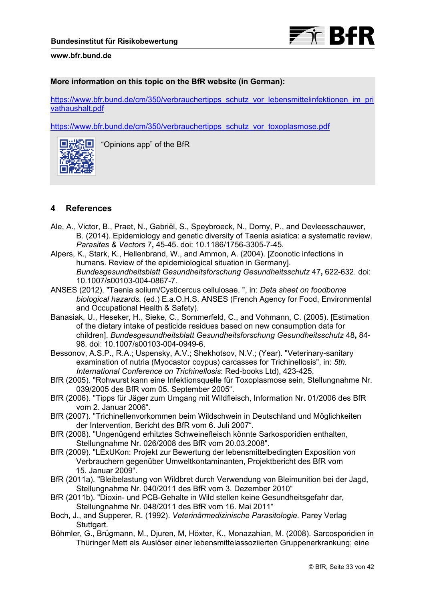### **More information on this topic on the BfR website (in German):**

[https://www.bfr.bund.de/cm/350/verbrauchertipps\\_schutz\\_vor\\_lebensmittelinfektionen\\_im\\_pri](https://www.bfr.bund.de/cm/350/verbrauchertipps_schutz_vor_lebensmittelinfektionen_im_privathaushalt.pdf) vathaushalt.pdf

[https://www.bfr.bund.de/cm/350/verbrauchertipps\\_schutz\\_vor\\_toxoplasmose.pdf](https://www.bfr.bund.de/cm/350/verbrauchertipps_schutz_vor_toxoplasmose.pdf)



"Opinions app" of the BfR

# **4 References**

- Ale, A., Victor, B., Praet, N., Gabriël, S., Speybroeck, N., Dorny, P., and Devleesschauwer, B. (2014). Epidemiology and genetic diversity of Taenia asiatica: a systematic review. *Parasites & Vectors* 7**,** 45-45. doi: 10.1186/1756-3305-7-45.
- Alpers, K., Stark, K., Hellenbrand, W., and Ammon, A. (2004). [Zoonotic infections in humans. Review of the epidemiological situation in Germany]. *Bundesgesundheitsblatt Gesundheitsforschung Gesundheitsschutz* 47**,** 622-632. doi: 10.1007/s00103-004-0867-7.
- ANSES (2012). "Taenia solium/Cysticercus cellulosae. ", in: *Data sheet on foodborne biological hazards.* (ed.) E.a.O.H.S. ANSES (French Agency for Food, Environmental and Occupational Health & Safety).
- Banasiak, U., Heseker, H., Sieke, C., Sommerfeld, C., and Vohmann, C. (2005). [Estimation of the dietary intake of pesticide residues based on new consumption data for children]. *Bundesgesundheitsblatt Gesundheitsforschung Gesundheitsschutz* 48**,** 84- 98. doi: 10.1007/s00103-004-0949-6.
- Bessonov, A.S.P., R.A.; Uspensky, A.V.; Shekhotsov, N.V.; (Year). "Veterinary-sanitary examination of nutria (Myocastor coypus) carcasses for Trichinellosis", in: *5th. International Conference on Trichinellosis*: Red-books Ltd), 423-425.
- BfR (2005). "Rohwurst kann eine Infektionsquelle für Toxoplasmose sein, Stellungnahme Nr. 039/2005 des BfR vom 05. September 2005".
- BfR (2006). "Tipps für Jäger zum Umgang mit Wildfleisch, Information Nr. 01/2006 des BfR vom 2. Januar 2006".
- BfR (2007). "Trichinellenvorkommen beim Wildschwein in Deutschland und Möglichkeiten der Intervention, Bericht des BfR vom 6. Juli 2007".
- BfR (2008). "Ungenügend erhitztes Schweinefleisch könnte Sarkosporidien enthalten, Stellungnahme Nr. 026/2008 des BfR vom 20.03.2008".
- BfR (2009). "LExUKon: Projekt zur Bewertung der lebensmittelbedingten Exposition von Verbrauchern gegenüber Umweltkontaminanten, Projektbericht des BfR vom 15. Januar 2009".
- BfR (2011a). "Bleibelastung von Wildbret durch Verwendung von Bleimunition bei der Jagd, Stellungnahme Nr. 040/2011 des BfR vom 3. Dezember 2010"
- BfR (2011b). "Dioxin- und PCB-Gehalte in Wild stellen keine Gesundheitsgefahr dar, Stellungnahme Nr. 048/2011 des BfR vom 16. Mai 2011"
- Boch, J., and Supperer, R. (1992). *Veterinärmedizinische Parasitologie.* Parey Verlag Stuttgart.
- Böhmler, G., Brügmann, M., Djuren, M, Höxter, K., Monazahian, M. (2008). Sarcosporidien in Thüringer Mett als Auslöser einer lebensmittelassoziierten Gruppenerkrankung; eine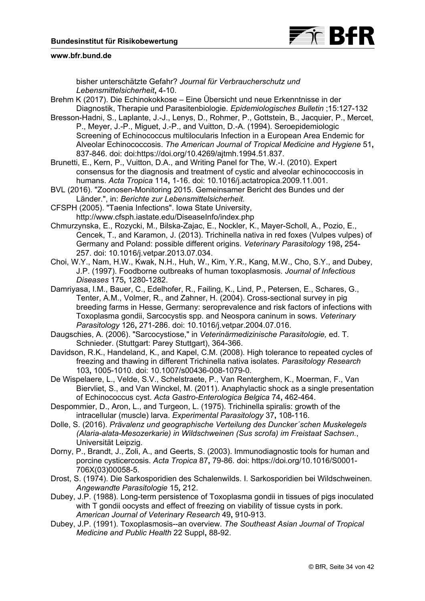

bisher unterschätzte Gefahr? *Journal für Verbraucherschutz und Lebensmittelsicherheit***,** 4-10.

Brehm K (2017). Die Echinokokkose – Eine Übersicht und neue Erkenntnisse in der Diagnostik, Therapie und Parasitenbiologie. *Epidemiologisches Bulletin* ;15:127-132

Bresson-Hadni, S., Laplante, J.-J., Lenys, D., Rohmer, P., Gottstein, B., Jacquier, P., Mercet, P., Meyer, J.-P., Miguet, J.-P., and Vuitton, D.-A. (1994). Seroepidemiologic Screening of Echinococcus multilocularis Infection in a European Area Endemic for Alveolar Echinococcosis. *The American Journal of Tropical Medicine and Hygiene* 51**,** 837-846. doi: doi:[https://doi.org/10.4269/ajtmh.1994.51.837.](https://doi.org/10.4269/ajtmh.1994.51.837) 

Brunetti, E., Kern, P., Vuitton, D.A., and Writing Panel for The, W.-I. (2010). Expert consensus for the diagnosis and treatment of cystic and alveolar echinococcosis in humans. *Acta Tropica* 114**,** 1-16. doi: 10.1016/j.actatropica.2009.11.001.

BVL (2016). "Zoonosen-Monitoring 2015. Gemeinsamer Bericht des Bundes und der Länder.", in: *Berichte zur Lebensmittelsicherheit.*

CFSPH (2005). "Taenia Infections". Iowa State University, <http://www.cfsph.iastate.edu/DiseaseInfo/index.php>

Chmurzynska, E., Rozycki, M., Bilska-Zajac, E., Nockler, K., Mayer-Scholl, A., Pozio, E., Cencek, T., and Karamon, J. (2013). Trichinella nativa in red foxes (Vulpes vulpes) of Germany and Poland: possible different origins. *Veterinary Parasitology* 198**,** 254- 257. doi: 10.1016/j.vetpar.2013.07.034.

Choi, W.Y., Nam, H.W., Kwak, N.H., Huh, W., Kim, Y.R., Kang, M.W., Cho, S.Y., and Dubey, J.P. (1997). Foodborne outbreaks of human toxoplasmosis. *Journal of Infectious Diseases* 175**,** 1280-1282.

Damriyasa, I.M., Bauer, C., Edelhofer, R., Failing, K., Lind, P., Petersen, E., Schares, G., Tenter, A.M., Volmer, R., and Zahner, H. (2004). Cross-sectional survey in pig breeding farms in Hesse, Germany: seroprevalence and risk factors of infections with Toxoplasma gondii, Sarcocystis spp. and Neospora caninum in sows. *Veterinary Parasitology* 126**,** 271-286. doi: 10.1016/j.vetpar.2004.07.016.

Daugschies, A. (2006). "Sarcocystiose," in *Veterinärmedizinische Parasitologie,* ed. T. Schnieder. (Stuttgart: Parey Stuttgart), 364-366.

Davidson, R.K., Handeland, K., and Kapel, C.M. (2008). High tolerance to repeated cycles of freezing and thawing in different Trichinella nativa isolates. *Parasitology Research* 103**,** 1005-1010. doi: 10.1007/s00436-008-1079-0.

De Wispelaere, L., Velde, S.V., Schelstraete, P., Van Renterghem, K., Moerman, F., Van Biervliet, S., and Van Winckel, M. (2011). Anaphylactic shock as a single presentation of Echinococcus cyst. *Acta Gastro-Enterologica Belgica* 74**,** 462-464.

Despommier, D., Aron, L., and Turgeon, L. (1975). Trichinella spiralis: growth of the intracellular (muscle) larva. *Experimental Parasitology* 37**,** 108-116.

Dolle, S. (2016). *Prävalenz und geographische Verteilung des Duncker´schen Muskelegels (Alaria-alata-Mesozerkarie) in Wildschweinen (Sus scrofa) im Freistaat Sachsen.*, Universität Leipzig.

Dorny, P., Brandt, J., Zoli, A., and Geerts, S. (2003). Immunodiagnostic tools for human and porcine cysticercosis. *Acta Tropica* 87**,** [79-86. doi: https://doi.org/10.1016/S0001-](https://doi.org/10.1016/S0001-706X(03)00058-5) 706X(03)00058-5.

Drost, S. (1974). Die Sarkosporidien des Schalenwilds. I. Sarkosporidien bei Wildschweinen. *Angewandte Parasitologie* 15**,** 212.

Dubey, J.P. (1988). Long-term persistence of Toxoplasma gondii in tissues of pigs inoculated with T gondii oocysts and effect of freezing on viability of tissue cysts in pork. *American Journal of Veterinary Research* 49**,** 910-913.

Dubey, J.P. (1991). Toxoplasmosis--an overview. *The Southeast Asian Journal of Tropical Medicine and Public Health* 22 Suppl**,** 88-92.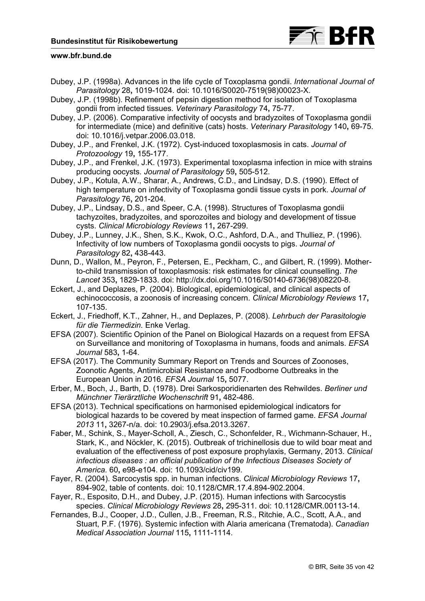

- Dubey, J.P. (1998a). Advances in the life cycle of Toxoplasma gondii. *International Journal of Parasitology* 28**,** 1019-1024. doi: 10.1016/S0020-7519(98)00023-X.
- Dubey, J.P. (1998b). Refinement of pepsin digestion method for isolation of Toxoplasma gondii from infected tissues. *Veterinary Parasitology* 74**,** 75-77.
- Dubey, J.P. (2006). Comparative infectivity of oocysts and bradyzoites of Toxoplasma gondii for intermediate (mice) and definitive (cats) hosts. *Veterinary Parasitology* 140**,** 69-75. doi: 10.1016/j.vetpar.2006.03.018.
- Dubey, J.P., and Frenkel, J.K. (1972). Cyst-induced toxoplasmosis in cats. *Journal of Protozoology* 19**,** 155-177.
- Dubey, J.P., and Frenkel, J.K. (1973). Experimental toxoplasma infection in mice with strains producing oocysts. *Journal of Parasitology* 59**,** 505-512.
- Dubey, J.P., Kotula, A.W., Sharar, A., Andrews, C.D., and Lindsay, D.S. (1990). Effect of high temperature on infectivity of Toxoplasma gondii tissue cysts in pork. *Journal of Parasitology* 76**,** 201-204.
- Dubey, J.P., Lindsay, D.S., and Speer, C.A. (1998). Structures of Toxoplasma gondii tachyzoites, bradyzoites, and sporozoites and biology and development of tissue cysts. *Clinical Microbiology Reviews* 11**,** 267-299.
- Dubey, J.P., Lunney, J.K., Shen, S.K., Kwok, O.C., Ashford, D.A., and Thulliez, P. (1996). Infectivity of low numbers of Toxoplasma gondii oocysts to pigs. *Journal of Parasitology* 82**,** 438-443.
- Dunn, D., Wallon, M., Peyron, F., Petersen, E., Peckham, C., and Gilbert, R. (1999). Motherto-child transmission of toxoplasmosis: risk estimates for clinical counselling. *The Lancet* 353**,** 1829-1833. doi: [http://dx.doi.org/10.1016/S0140-6736\(98\)08220-8.](http://dx.doi.org/10.1016/S0140-6736(98)08220-8)
- Eckert, J., and Deplazes, P. (2004). Biological, epidemiological, and clinical aspects of echinococcosis, a zoonosis of increasing concern. *Clinical Microbiology Reviews* 17**,** 107-135.
- Eckert, J., Friedhoff, K.T., Zahner, H., and Deplazes, P. (2008). *Lehrbuch der Parasitologie für die Tiermedizin.* Enke Verlag.
- EFSA (2007). Scientific Opinion of the Panel on Biological Hazards on a request from EFSA on Surveillance and monitoring of Toxoplasma in humans, foods and animals. *EFSA Journal* 583**,** 1-64.
- EFSA (2017). The Community Summary Report on Trends and Sources of Zoonoses, Zoonotic Agents, Antimicrobial Resistance and Foodborne Outbreaks in the European Union in 2016. *EFSA Journal* 15**,** 5077.
- Erber, M., Boch, J., Barth, D. (1978). Drei Sarkosporidienarten des Rehwildes. *Berliner und Münchner Tierärztliche Wochenschrift* 91**,** 482-486.
- EFSA (2013). Technical specifications on harmonised epidemiological indicators for biological hazards to be covered by meat inspection of farmed game. *EFSA Journal 2013* 11**,** 3267-n/a. doi: 10.2903/j.efsa.2013.3267.
- Faber, M., Schink, S., Mayer-Scholl, A., Ziesch, C., Schonfelder, R., Wichmann-Schauer, H., Stark, K., and Nöckler, K. (2015). Outbreak of trichinellosis due to wild boar meat and evaluation of the effectiveness of post exposure prophylaxis, Germany, 2013. *Clinical infectious diseases : an official publication of the Infectious Diseases Society of America.* 60**,** e98-e104. doi: 10.1093/cid/civ199.
- Fayer, R. (2004). Sarcocystis spp. in human infections. *Clinical Microbiology Reviews* 17**,** 894-902, table of contents. doi: 10.1128/CMR.17.4.894-902.2004.
- Fayer, R., Esposito, D.H., and Dubey, J.P. (2015). Human infections with Sarcocystis species. *Clinical Microbiology Reviews* 28**,** 295-311. doi: 10.1128/CMR.00113-14.
- Fernandes, B.J., Cooper, J.D., Cullen, J.B., Freeman, R.S., Ritchie, A.C., Scott, A.A., and Stuart, P.F. (1976). Systemic infection with Alaria americana (Trematoda). *Canadian Medical Association Journal* 115**,** 1111-1114.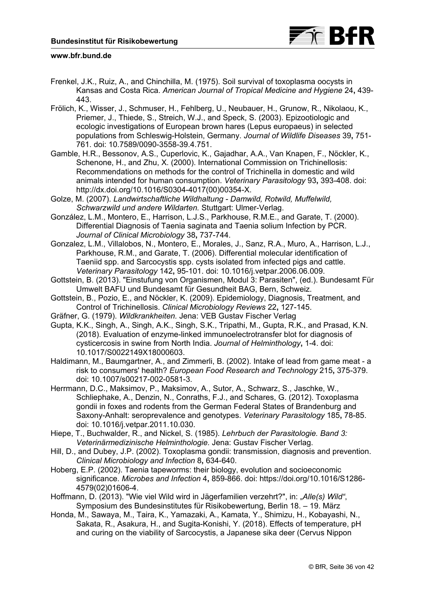

- Frenkel, J.K., Ruiz, A., and Chinchilla, M. (1975). Soil survival of toxoplasma oocysts in Kansas and Costa Rica. *American Journal of Tropical Medicine and Hygiene* 24**,** 439- 443.
- Frölich, K., Wisser, J., Schmuser, H., Fehlberg, U., Neubauer, H., Grunow, R., Nikolaou, K., Priemer, J., Thiede, S., Streich, W.J., and Speck, S. (2003). Epizootiologic and ecologic investigations of European brown hares (Lepus europaeus) in selected populations from Schleswig-Holstein, Germany. *Journal of Wildlife Diseases* 39**,** 751- 761. doi: 10.7589/0090-3558-39.4.751.
- Gamble, H.R., Bessonov, A.S., Cuperlovic, K., Gajadhar, A.A., Van Knapen, F., Nöckler, K., Schenone, H., and Zhu, X. (2000). International Commission on Trichinellosis: Recommendations on methods for the control of Trichinella in domestic and wild animals intended for human consumption. *Veterinary Parasitology* 93**,** 393-408. doi: [http://dx.doi.org/10.1016/S0304-4017\(00\)00354-X.](http://dx.doi.org/10.1016/S0304-4017(00)00354-X)
- Golze, M. (2007). *Landwirtschaftliche Wildhaltung Damwild, Rotwild, Muffelwild, Schwarzwild und andere Wildarten.* Stuttgart: Ulmer-Verlag.
- González, L.M., Montero, E., Harrison, L.J.S., Parkhouse, R.M.E., and Garate, T. (2000). Differential Diagnosis of Taenia saginata and Taenia solium Infection by PCR. *Journal of Clinical Microbiology* 38**,** 737-744.
- Gonzalez, L.M., Villalobos, N., Montero, E., Morales, J., Sanz, R.A., Muro, A., Harrison, L.J., Parkhouse, R.M., and Garate, T. (2006). Differential molecular identification of Taeniid spp. and Sarcocystis spp. cysts isolated from infected pigs and cattle. *Veterinary Parasitology* 142**,** 95-101. doi: 10.1016/j.vetpar.2006.06.009.
- Gottstein, B. (2013). "Einstufung von Organismen, Modul 3: Parasiten", (ed.). Bundesamt Für Umwelt BAFU und Bundesamt für Gesundheit BAG, Bern, Schweiz.
- Gottstein, B., Pozio, E., and Nöckler, K. (2009). Epidemiology, Diagnosis, Treatment, and Control of Trichinellosis. *Clinical Microbiology Reviews* 22**,** 127-145.
- Gräfner, G. (1979). *Wildkrankheiten.* Jena: VEB Gustav Fischer Verlag
- Gupta, K.K., Singh, A., Singh, A.K., Singh, S.K., Tripathi, M., Gupta, R.K., and Prasad, K.N. (2018). Evaluation of enzyme-linked immunoelectrotransfer blot for diagnosis of cysticercosis in swine from North India. *Journal of Helminthology***,** 1-4. doi: 10.1017/S0022149X18000603.
- Haldimann, M., Baumgartner, A., and Zimmerli, B. (2002). Intake of lead from game meat a risk to consumers' health? *European Food Research and Technology* 215**,** 375-379. doi: 10.1007/s00217-002-0581-3.
- Herrmann, D.C., Maksimov, P., Maksimov, A., Sutor, A., Schwarz, S., Jaschke, W., Schliephake, A., Denzin, N., Conraths, F.J., and Schares, G. (2012). Toxoplasma gondii in foxes and rodents from the German Federal States of Brandenburg and Saxony-Anhalt: seroprevalence and genotypes. *Veterinary Parasitology* 185**,** 78-85. doi: 10.1016/j.vetpar.2011.10.030.
- Hiepe, T., Buchwalder, R., and Nickel, S. (1985). *Lehrbuch der Parasitologie. Band 3: Veterinärmedizinische Helminthologie.* Jena: Gustav Fischer Verlag.
- Hill, D., and Dubey, J.P. (2002). Toxoplasma gondii: transmission, diagnosis and prevention. *Clinical Microbiology and Infection* 8**,** 634-640.
- Hoberg, E.P. (2002). Taenia tapeworms: their biology, evolution and socioeconomic significance. *Microbes and Infection* 4**,** [859-866. doi: https://doi.org/10.1016/S1286-](https://doi.org/10.1016/S1286-4579(02)01606-4) 4579(02)01606-4.
- Hoffmann, D. (2013). "Wie viel Wild wird in Jägerfamilien verzehrt?", in: "*Alle(s) Wild"*, Symposium des Bundesinstitutes für Risikobewertung, Berlin 18. – 19. März
- Honda, M., Sawaya, M., Taira, K., Yamazaki, A., Kamata, Y., Shimizu, H., Kobayashi, N., Sakata, R., Asakura, H., and Sugita-Konishi, Y. (2018). Effects of temperature, pH and curing on the viability of Sarcocystis, a Japanese sika deer (Cervus Nippon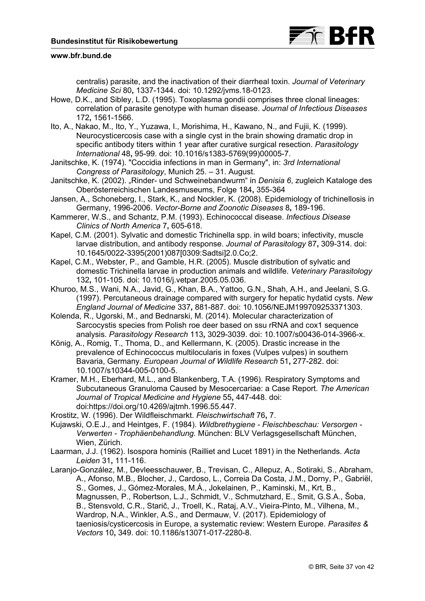

centralis) parasite, and the inactivation of their diarrheal toxin. *Journal of Veterinary Medicine Sci* 80**,** 1337-1344. doi: 10.1292/jvms.18-0123.

- Howe, D.K., and Sibley, L.D. (1995). Toxoplasma gondii comprises three clonal lineages: correlation of parasite genotype with human disease. *Journal of Infectious Diseases* 172**,** 1561-1566.
- Ito, A., Nakao, M., Ito, Y., Yuzawa, I., Morishima, H., Kawano, N., and Fujii, K. (1999). Neurocysticercosis case with a single cyst in the brain showing dramatic drop in specific antibody titers within 1 year after curative surgical resection. *Parasitology International* 48**,** 95-99. doi: 10.1016/s1383-5769(99)00005-7.
- Janitschke, K. (1974). "Coccidia infections in man in Germany", in: *3rd International Congress of Parasitology*, Munich 25. – 31. August.
- Janitschke, K. (2002). "Rinder- und Schweinebandwurm" in *Denisia 6*, zugleich Kataloge des Oberösterreichischen Landesmuseums, Folge 184**,** 355-364
- Jansen, A., Schoneberg, I., Stark, K., and Nockler, K. (2008). Epidemiology of trichinellosis in Germany, 1996-2006. *Vector-Borne and Zoonotic Diseases* 8**,** 189-196.
- Kammerer, W.S., and Schantz, P.M. (1993). Echinococcal disease. *Infectious Disease Clinics of North America* 7**,** 605-618.
- Kapel, C.M. (2001). Sylvatic and domestic Trichinella spp. in wild boars; infectivity, muscle larvae distribution, and antibody response. *Journal of Parasitology* 87**,** 309-314. doi: 10.1645/0022-3395(2001)087[0309:Sadtsi]2.0.Co;2.

Kapel, C.M., Webster, P., and Gamble, H.R. (2005). Muscle distribution of sylvatic and domestic Trichinella larvae in production animals and wildlife. *Veterinary Parasitology* 132**,** 101-105. doi: 10.1016/j.vetpar.2005.05.036.

- Khuroo, M.S., Wani, N.A., Javid, G., Khan, B.A., Yattoo, G.N., Shah, A.H., and Jeelani, S.G. (1997). Percutaneous drainage compared with surgery for hepatic hydatid cysts. *New England Journal of Medicine* 337**,** 881-887. doi: 10.1056/NEJM199709253371303.
- Kolenda, R., Ugorski, M., and Bednarski, M. (2014). Molecular characterization of Sarcocystis species from Polish roe deer based on ssu rRNA and cox1 sequence analysis. *Parasitology Research* 113**,** 3029-3039. doi: 10.1007/s00436-014-3966-x.

König, A., Romig, T., Thoma, D., and Kellermann, K. (2005). Drastic increase in the prevalence of Echinococcus multilocularis in foxes (Vulpes vulpes) in southern Bavaria, Germany. *European Journal of Wildlife Research* 51**,** 277-282. doi: 10.1007/s10344-005-0100-5.

- Kramer, M.H., Eberhard, M.L., and Blankenberg, T.A. (1996). Respiratory Symptoms and Subcutaneous Granuloma Caused by Mesocercariae: a Case Report. *The American Journal of Tropical Medicine and Hygiene* 55**,** 447-448. doi: doi:[https://doi.org/10.4269/ajtmh.1996.55.447.](https://doi.org/10.4269/ajtmh.1996.55.447)
- Krostitz, W. (1996). Der Wildfleischmarkt. *Fleischwirtschaft* 76**,** 7.
- Kujawski, O.E.J., and Heintges, F. (1984). *Wildbrethygiene Fleischbeschau: Versorgen Verwerten - Trophäenbehandlung.* München: BLV Verlagsgesellschaft München, Wien, Zürich.
- Laarman, J.J. (1962). Isospora hominis (Railliet and Lucet 1891) in the Netherlands. *Acta Leiden* 31**,** 111-116.
- Laranjo-González, M., Devleesschauwer, B., Trevisan, C., Allepuz, A., Sotiraki, S., Abraham, A., Afonso, M.B., Blocher, J., Cardoso, L., Correia Da Costa, J.M., Dorny, P., Gabriël, S., Gomes, J., Gómez-Morales, M.Á., Jokelainen, P., Kaminski, M., Krt, B., Magnussen, P., Robertson, L.J., Schmidt, V., Schmutzhard, E., Smit, G.S.A., Šoba, B., Stensvold, C.R., Starič, J., Troell, K., Rataj, A.V., Vieira-Pinto, M., Vilhena, M., Wardrop, N.A., Winkler, A.S., and Dermauw, V. (2017). Epidemiology of taeniosis/cysticercosis in Europe, a systematic review: Western Europe. *Parasites & Vectors* 10**,** 349. doi: 10.1186/s13071-017-2280-8.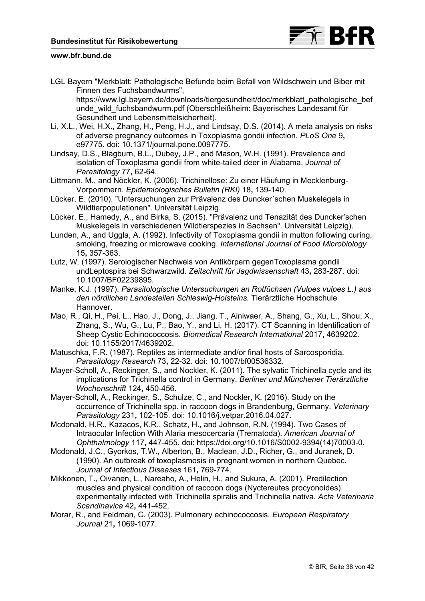

LGL Bayern "Merkblatt: Pathologische Befunde beim Befall von Wildschwein und Biber mit Finnen des Fuchsbandwurms",

[https://www.lgl.bayern.de/downloads/tiergesundheit/doc/merkblatt\\_pathologische\\_bef](https://www.lgl.bayern.de/downloads/tiergesundheit/doc/merkblatt_pathologische_befunde_wild_fuchsbandwurm.pdf) unde\_wild\_fuchsbandwurm.pdf (Oberschleißheim: Bayerisches Landesamt für Gesundheit und Lebensmittelsicherheit).

- Li, X.L., Wei, H.X., Zhang, H., Peng, H.J., and Lindsay, D.S. (2014). A meta analysis on risks of adverse pregnancy outcomes in Toxoplasma gondii infection. *PLoS One* 9**,** e97775. doi: 10.1371/journal.pone.0097775.
- Lindsay, D.S., Blagburn, B.L., Dubey, J.P., and Mason, W.H. (1991). Prevalence and isolation of Toxoplasma gondii from white-tailed deer in Alabama. *Journal of Parasitology* 77**,** 62-64.
- Littmann, M., and Nöckler, K. (2006). Trichinellose: Zu einer Häufung in Mecklenburg-Vorpommern. *Epidemiologisches Bulletin (RKI)* 18**,** 139-140.
- Lücker, E. (2010). "Untersuchungen zur Prävalenz des Duncker´schen Muskelegels in Wildtierpopulationen". Universität Leipzig.
- Lücker, E., Hamedy, A., and Birka, S. (2015). "Prävalenz und Tenazität des Duncker'schen Muskelegels in verschiedenen Wildtierspezies in Sachsen". Universität Leipzig).
- Lunden, A., and Uggla, A. (1992). Infectivity of Toxoplasma gondii in mutton following curing, smoking, freezing or microwave cooking. *International Journal of Food Microbiology*  15**,** 357-363.
- Lutz, W. (1997). Serologischer Nachweis von Antikörpern gegenToxoplasma gondii undLeptospira bei Schwarzwild. *Zeitschrift für Jagdwissenschaft* 43**,** 283-287. doi: 10.1007/BF02239895.
- Manke, K.J. (1997). *Parasitologische Untersuchungen an Rotfüchsen (Vulpes vulpes L.) aus den nördlichen Landesteilen Schleswig-Holsteins.* Tierärztliche Hochschule Hannover.
- Mao, R., Qi, H., Pei, L., Hao, J., Dong, J., Jiang, T., Ainiwaer, A., Shang, G., Xu, L., Shou, X., Zhang, S., Wu, G., Lu, P., Bao, Y., and Li, H. (2017). CT Scanning in Identification of Sheep Cystic Echinococcosis. *Biomedical Research International* 2017**,** 4639202. doi: 10.1155/2017/4639202.
- Matuschka, F.R. (1987). Reptiles as intermediate and/or final hosts of Sarcosporidia. *Parasitology Research* 73**,** 22-32. doi: 10.1007/bf00536332.
- Mayer-Scholl, A., Reckinger, S., and Nockler, K. (2011). The sylvatic Trichinella cycle and its implications for Trichinella control in Germany. *Berliner und Münchener Tierärztliche Wochenschrift* 124**,** 450-456.
- Mayer-Scholl, A., Reckinger, S., Schulze, C., and Nockler, K. (2016). Study on the occurrence of Trichinella spp. in raccoon dogs in Brandenburg, Germany. *Veterinary Parasitology* 231**,** 102-105. doi: 10.1016/j.vetpar.2016.04.027.
- Mcdonald, H.R., Kazacos, K.R., Schatz, H., and Johnson, R.N. (1994). Two Cases of Intraocular Infection With Alaria mesocercaria (Trematoda). *American Journal of Ophthalmology* 117**,** 447-455. doi: [https://doi.org/10.1016/S0002-9394\(14\)70003-0](https://doi.org/10.1016/S0002-9394(14)70003-0).
- Mcdonald, J.C., Gyorkos, T.W., Alberton, B., Maclean, J.D., Richer, G., and Juranek, D. (1990). An outbreak of toxoplasmosis in pregnant women in northern Quebec. *Journal of Infectious Diseases* 161**,** 769-774.
- Mikkonen, T., Oivanen, L., Nareaho, A., Helin, H., and Sukura, A. (2001). Predilection muscles and physical condition of raccoon dogs (Nyctereutes procyonoides) experimentally infected with Trichinella spiralis and Trichinella nativa. *Acta Veterinaria Scandinavica* 42**,** 441-452.
- Morar, R., and Feldman, C. (2003). Pulmonary echinococcosis. *European Respiratory Journal* 21**,** 1069-1077.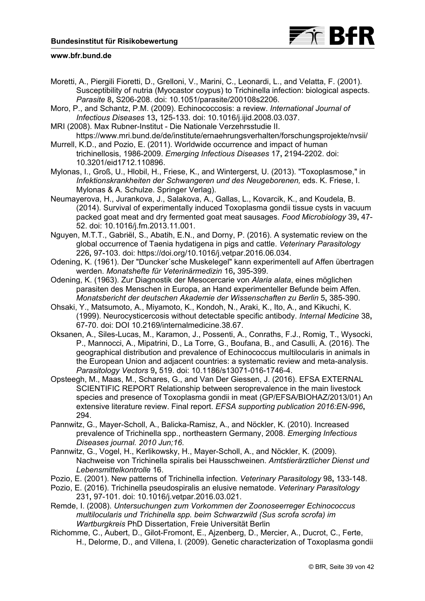

- Moretti, A., Piergili Fioretti, D., Grelloni, V., Marini, C., Leonardi, L., and Velatta, F. (2001). Susceptibility of nutria (Myocastor coypus) to Trichinella infection: biological aspects. *Parasite* 8**,** S206-208. doi: 10.1051/parasite/200108s2206.
- Moro, P., and Schantz, P.M. (2009). Echinococcosis: a review. *International Journal of Infectious Diseases* 13**,** 125-133. doi: 10.1016/j.ijid.2008.03.037.
- MRI (2008). Max Rubner-Institut Die Nationale Verzehrsstudie II. <https://www.mri.bund.de/de/institute/ernaehrungsverhalten/forschungsprojekte/nvsii/>
- Murrell, K.D., and Pozio, E. (2011). Worldwide occurrence and impact of human trichinellosis, 1986-2009. *Emerging Infectious Diseases* 17**,** 2194-2202. doi: 10.3201/eid1712.110896.
- Mylonas, I., Groß, U., Hlobil, H., Friese, K., and Wintergerst, U. (2013). "Toxoplasmose," in *Infektionskrankheiten der Schwangeren und des Neugeborenen,* eds. K. Friese, I. Mylonas & A. Schulze. Springer Verlag).
- Neumayerova, H., Jurankova, J., Salakova, A., Gallas, L., Kovarcik, K., and Koudela, B. (2014). Survival of experimentally induced Toxoplasma gondii tissue cysts in vacuum packed goat meat and dry fermented goat meat sausages. *Food Microbiology* 39**,** 47- 52. doi: 10.1016/j.fm.2013.11.001.
- Nguyen, M.T.T., Gabriël, S., Abatih, E.N., and Dorny, P. (2016). A systematic review on the global occurrence of Taenia hydatigena in pigs and cattle. *Veterinary Parasitology* 226**,** 97-103. doi: [https://doi.org/10.1016/j.vetpar.2016.06.034.](https://doi.org/10.1016/j.vetpar.2016.06.034)
- Odening, K. (1961). Der "Duncker´sche Muskelegel" kann experimentell auf Affen übertragen werden. *Monatshefte für Veterinärmedizin* 16**,** 395-399.
- Odening, K. (1963). Zur Diagnostik der Mesocercarie von *Alaria alata*, eines möglichen parasiten des Menschen in Europa, an Hand experimenteller Befunde beim Affen. *Monatsbericht der deutschen Akademie der Wissenschaften zu Berlin* 5**,** 385-390.
- Ohsaki, Y., Matsumoto, A., Miyamoto, K., Kondoh, N., Araki, K., Ito, A., and Kikuchi, K. (1999). Neurocysticercosis without detectable specific antibody. *Internal Medicine* 38**,** 67-70. doi: DOI 10.2169/internalmedicine.38.67.
- Oksanen, A., Siles-Lucas, M., Karamon, J., Possenti, A., Conraths, F.J., Romig, T., Wysocki, P., Mannocci, A., Mipatrini, D., La Torre, G., Boufana, B., and Casulli, A. (2016). The geographical distribution and prevalence of Echinococcus multilocularis in animals in the European Union and adjacent countries: a systematic review and meta-analysis. *Parasitology Vectors* 9**,** 519. doi: 10.1186/s13071-016-1746-4.
- Opsteegh, M., Maas, M., Schares, G., and Van Der Giessen, J. (2016). EFSA EXTERNAL SCIENTIFIC REPORT Relationship between seroprevalence in the main livestock species and presence of Toxoplasma gondii in meat (GP/EFSA/BIOHAZ/2013/01) An extensive literature review. Final report. *EFSA supporting publication 2016:EN-996***,** 294.
- Pannwitz, G., Mayer-Scholl, A., Balicka-Ramisz, A., and Nöckler, K. (2010). Increased prevalence of Trichinella spp., northeastern Germany, 2008. *Emerging Infectious Diseases journal. 2010 Jun;16*.
- Pannwitz, G., Vogel, H., Kerlikowsky, H., Mayer-Scholl, A., and Nöckler, K. (2009). Nachweise von Trichinella spiralis bei Hausschweinen. *Amtstierärztlicher Dienst und Lebensmittelkontrolle* 16.
- Pozio, E. (2001). New patterns of Trichinella infection. *Veterinary Parasitology* 98**,** 133-148.
- Pozio, E. (2016). Trichinella pseudospiralis an elusive nematode. *Veterinary Parasitology* 231**,** 97-101. doi: 10.1016/j.vetpar.2016.03.021.
- Remde, I. (2008). *Untersuchungen zum Vorkommen der Zoonoseerreger Echinococcus multilocularis und Trichinella spp. beim Schwarzwild (Sus scrofa scrofa) im Wartburgkreis* PhD Dissertation, Freie Universität Berlin
- Richomme, C., Aubert, D., Gilot-Fromont, E., Ajzenberg, D., Mercier, A., Ducrot, C., Ferte, H., Delorme, D., and Villena, I. (2009). Genetic characterization of Toxoplasma gondii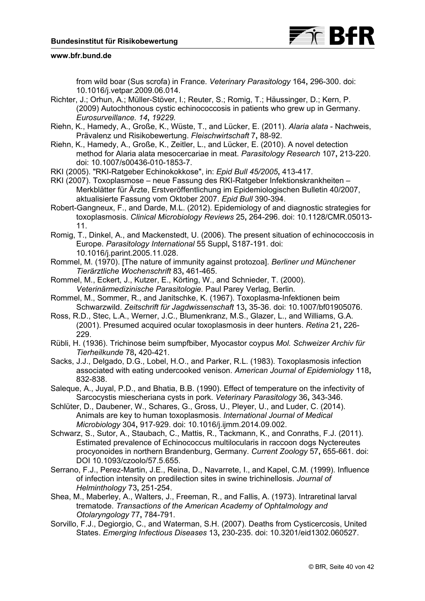

from wild boar (Sus scrofa) in France. *Veterinary Parasitology* 164**,** 296-300. doi: 10.1016/j.vetpar.2009.06.014.

Richter, J.; Orhun, A.; Müller-Stöver, I.; Reuter, S.; Romig, T.; Häussinger, D.; Kern, P. (2009) Autochthonous cystic echinococcosis in patients who grew up in Germany. *Eurosurveillance. 14***,** *19229.* 

- Riehn, K., Hamedy, A., Große, K., Wüste, T., and Lücker, E. (2011). *Alaria alata* Nachweis, Prävalenz und Risikobewertung. *Fleischwirtschaft* 7**,** 88-92.
- Riehn, K., Hamedy, A., Große, K., Zeitler, L., and Lücker, E. (2010). A novel detection method for Alaria alata mesocercariae in meat. *Parasitology Research* 107**,** 213-220. doi: 10.1007/s00436-010-1853-7.
- RKI (2005). "RKI-Ratgeber Echinokokkose", in: *Epid Bull 45/2005***,** 413-417*.*
- RKI (2007). Toxoplasmose neue Fassung des RKI-Ratgeber Infektionskrankheiten Merkblätter für Ärzte, Erstveröffentlichung im Epidemiologischen Bulletin 40/2007, aktualisierte Fassung vom Oktober 2007. *Epid Bull* 390-394.
- Robert-Gangneux, F., and Darde, M.L. (2012). Epidemiology of and diagnostic strategies for toxoplasmosis. *Clinical Microbiology Reviews* 25**,** 264-296. doi: 10.1128/CMR.05013- 11.
- Romig, T., Dinkel, A., and Mackenstedt, U. (2006). The present situation of echinococcosis in Europe. *Parasitology International* 55 Suppl**,** S187-191. doi: 10.1016/j.parint.2005.11.028.
- Rommel, M. (1970). [The nature of immunity against protozoa]. *Berliner und Münchener Tierärztliche Wochenschrift* 83**,** 461-465.
- Rommel, M., Eckert, J., Kutzer, E., Körting, W., and Schnieder, T. (2000). *Veterinärmedizinische Parasitologie.* Paul Parey Verlag, Berlin.
- Rommel, M., Sommer, R., and Janitschke, K. (1967). Toxoplasma-Infektionen beim Schwarzwild. *Zeitschrift für Jagdwissenschaft* 13**,** 35-36. doi: 10.1007/bf01905076.
- Ross, R.D., Stec, L.A., Werner, J.C., Blumenkranz, M.S., Glazer, L., and Williams, G.A. (2001). Presumed acquired ocular toxoplasmosis in deer hunters. *Retina* 21**,** 226- 229.
- Rübli, H. (1936). Trichinose beim sumpfbiber, Myocastor coypus *Mol. Schweizer Archiv für Tierheilkunde* 78**,** 420-421.
- Sacks, J.J., Delgado, D.G., Lobel, H.O., and Parker, R.L. (1983). Toxoplasmosis infection associated with eating undercooked venison. *American Journal of Epidemiology* 118**,** 832-838.
- Saleque, A., Juyal, P.D., and Bhatia, B.B. (1990). Effect of temperature on the infectivity of Sarcocystis miescheriana cysts in pork. *Veterinary Parasitology* 36**,** 343-346.
- Schlüter, D., Daubener, W., Schares, G., Gross, U., Pleyer, U., and Luder, C. (2014). Animals are key to human toxoplasmosis. *International Journal of Medical Microbiology* 304**,** 917-929. doi: 10.1016/j.ijmm.2014.09.002.
- Schwarz, S., Sutor, A., Staubach, C., Mattis, R., Tackmann, K., and Conraths, F.J. (2011). Estimated prevalence of Echinococcus multilocularis in raccoon dogs Nyctereutes procyonoides in northern Brandenburg, Germany. *Current Zoology* 57**,** 655-661. doi: DOI 10.1093/czoolo/57.5.655.
- Serrano, F.J., Perez-Martin, J.E., Reina, D., Navarrete, I., and Kapel, C.M. (1999). Influence of infection intensity on predilection sites in swine trichinellosis. *Journal of Helminthology* 73**,** 251-254.
- Shea, M., Maberley, A., Walters, J., Freeman, R., and Fallis, A. (1973). Intraretinal larval trematode. *Transactions of the American Academy of Ophtalmology and Otolaryngology* 77**,** 784-791.
- Sorvillo, F.J., Degiorgio, C., and Waterman, S.H. (2007). Deaths from Cysticercosis, United States. *Emerging Infectious Diseases* 13**,** 230-235. doi: 10.3201/eid1302.060527.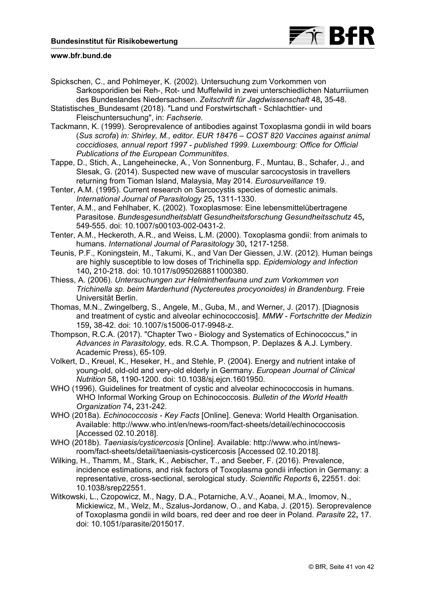![](_page_40_Picture_1.jpeg)

- Spickschen, C., and Pohlmeyer, K. (2002). Untersuchung zum Vorkommen von Sarkosporidien bei Reh-, Rot- und Muffelwild in zwei unterschiedlichen Naturriiumen des Bundeslandes Niedersachsen. *Zeitschrift für Jagdwissenschaft* 48**,** 35-48.
- Statistisches\_Bundesamt (2018). "Land und Forstwirtschaft Schlachttier- und Fleischuntersuchung", in: *Fachserie.*
- Tackmann, K. (1999). Seroprevalence of antibodies against Toxoplasma gondii in wild boars (*Sus scrofa*) *in: Shirley, M., editor. EUR 18476 – COST 820 Vaccines against animal coccidioses, annual report 1997 - published 1999. Luxembourg: Office for Official Publications of the European Communitites*.
- Tappe, D., Stich, A., Langeheinecke, A., Von Sonnenburg, F., Muntau, B., Schafer, J., and Slesak, G. (2014). Suspected new wave of muscular sarcocystosis in travellers returning from Tioman Island, Malaysia, May 2014. *Eurosurveillance* 19.
- Tenter, A.M. (1995). Current research on Sarcocystis species of domestic animals. *International Journal of Parasitology* 25**,** 1311-1330.
- Tenter, A.M., and Fehlhaber, K. (2002). Toxoplasmose: Eine lebensmittelübertragene Parasitose. *Bundesgesundheitsblatt Gesundheitsforschung Gesundheitsschutz* 45**,** 549-555. doi: 10.1007/s00103-002-0431-2.
- Tenter, A.M., Heckeroth, A.R., and Weiss, L.M. (2000). Toxoplasma gondii: from animals to humans. *International Journal of Parasitology* 30**,** 1217-1258.
- Teunis, P.F., Koningstein, M., Takumi, K., and Van Der Giessen, J.W. (2012). Human beings are highly susceptible to low doses of Trichinella spp. *Epidemiology and Infection* 140**,** 210-218. doi: 10.1017/s0950268811000380.
- Thiess, A. (2006). *Untersuchungen zur Helminthenfauna und zum Vorkommen von Trichinella sp. beim Marderhund (Nyctereutes procyonoides) in Brandenburg.* Freie Universität Berlin.
- Thomas, M.N., Zwingelberg, S., Angele, M., Guba, M., and Werner, J. (2017). [Diagnosis and treatment of cystic and alveolar echinococcosis]. *MMW - Fortschritte der Medizin* 159**,** 38-42. doi: 10.1007/s15006-017-9948-z.
- Thompson, R.C.A. (2017). "Chapter Two Biology and Systematics of Echinococcus," in *Advances in Parasitology,* eds. R.C.A. Thompson, P. Deplazes & A.J. Lymbery. Academic Press), 65-109.
- Volkert, D., Kreuel, K., Heseker, H., and Stehle, P. (2004). Energy and nutrient intake of young-old, old-old and very-old elderly in Germany. *European Journal of Clinical Nutrition* 58**,** 1190-1200. doi: 10.1038/sj.ejcn.1601950.
- WHO (1996). Guidelines for treatment of cystic and alveolar echinococcosis in humans. WHO Informal Working Group on Echinococcosis. *Bulletin of the World Health Organization* 74**,** 231-242.
- WHO (2018a). *Echinococcosis Key Facts* [Online]. Geneva: World Health Organisation. Available: <http://www.who.int/en/news-room/fact-sheets/detail/echinococcosis> [Accessed 02.10.2018].
- WHO (2018b). *Taeniasis/cysticercosis* [Online]. Available: http://www.who.int/news[room/fact-sheets/detail/taeniasis-cysticercosis \[Accessed 02.10.2018\].](http://www.who.int/news-room/fact-sheets/detail/taeniasis-cysticercosis)
- Wilking, H., Thamm, M., Stark, K., Aebischer, T., and Seeber, F. (2016). Prevalence, incidence estimations, and risk factors of Toxoplasma gondii infection in Germany: a representative, cross-sectional, serological study. *Scientific Reports* 6**,** 22551. doi: 10.1038/srep22551.
- Witkowski, L., Czopowicz, M., Nagy, D.A., Potarniche, A.V., Aoanei, M.A., Imomov, N., Mickiewicz, M., Welz, M., Szalus-Jordanow, O., and Kaba, J. (2015). Seroprevalence of Toxoplasma gondii in wild boars, red deer and roe deer in Poland. *Parasite* 22**,** 17. doi: 10.1051/parasite/2015017.